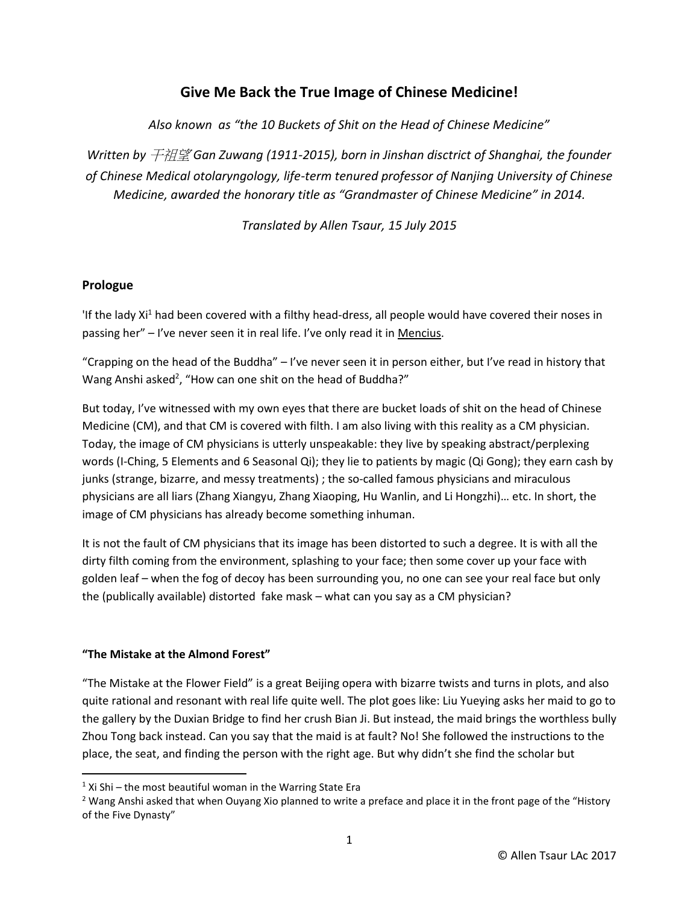# **Give Me Back the True Image of Chinese Medicine!**

*Also known as "the 10 Buckets of Shit on the Head of Chinese Medicine"*

*Written by* 干祖望 *Gan Zuwang (1911-2015), born in Jinshan disctrict of Shanghai, the founder of Chinese Medical otolaryngology, life-term tenured professor of Nanjing University of Chinese Medicine, awarded the honorary title as "Grandmaster of Chinese Medicine" in 2014.*

*Translated by Allen Tsaur, 15 July 2015*

# **Prologue**

If the lady Xi<sup>1</sup> had been covered with a filthy head-dress, all people would have covered their noses in passing her" – I've never seen it in real life. I've only read it in Mencius.

"Crapping on the head of the Buddha" – I've never seen it in person either, but I've read in history that Wang Anshi asked<sup>2</sup>, "How can one shit on the head of Buddha?"

But today, I've witnessed with my own eyes that there are bucket loads of shit on the head of Chinese Medicine (CM), and that CM is covered with filth. I am also living with this reality as a CM physician. Today, the image of CM physicians is utterly unspeakable: they live by speaking abstract/perplexing words (I-Ching, 5 Elements and 6 Seasonal Qi); they lie to patients by magic (Qi Gong); they earn cash by junks (strange, bizarre, and messy treatments) ; the so-called famous physicians and miraculous physicians are all liars (Zhang Xiangyu, Zhang Xiaoping, Hu Wanlin, and Li Hongzhi)… etc. In short, the image of CM physicians has already become something inhuman.

It is not the fault of CM physicians that its image has been distorted to such a degree. It is with all the dirty filth coming from the environment, splashing to your face; then some cover up your face with golden leaf – when the fog of decoy has been surrounding you, no one can see your real face but only the (publically available) distorted fake mask – what can you say as a CM physician?

# **"The Mistake at the Almond Forest"**

 $\overline{\phantom{a}}$ 

"The Mistake at the Flower Field" is a great Beijing opera with bizarre twists and turns in plots, and also quite rational and resonant with real life quite well. The plot goes like: Liu Yueying asks her maid to go to the gallery by the Duxian Bridge to find her crush Bian Ji. But instead, the maid brings the worthless bully Zhou Tong back instead. Can you say that the maid is at fault? No! She followed the instructions to the place, the seat, and finding the person with the right age. But why didn't she find the scholar but

 $1$  Xi Shi – the most beautiful woman in the Warring State Era

<sup>&</sup>lt;sup>2</sup> Wang Anshi asked that when Ouyang Xio planned to write a preface and place it in the front page of the "History of the Five Dynasty"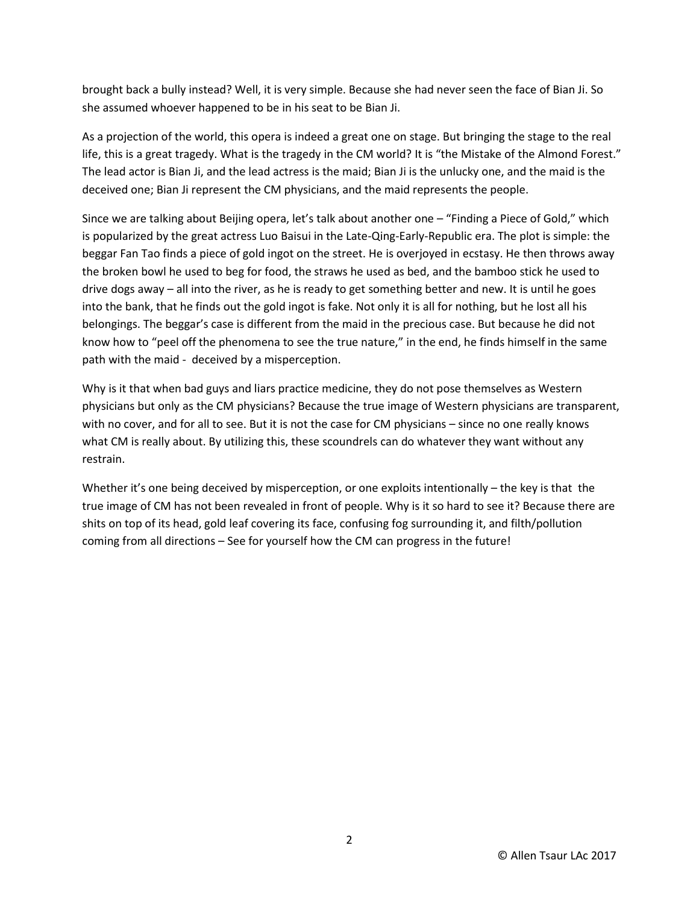brought back a bully instead? Well, it is very simple. Because she had never seen the face of Bian Ji. So she assumed whoever happened to be in his seat to be Bian Ji.

As a projection of the world, this opera is indeed a great one on stage. But bringing the stage to the real life, this is a great tragedy. What is the tragedy in the CM world? It is "the Mistake of the Almond Forest." The lead actor is Bian Ji, and the lead actress is the maid; Bian Ji is the unlucky one, and the maid is the deceived one; Bian Ji represent the CM physicians, and the maid represents the people.

Since we are talking about Beijing opera, let's talk about another one – "Finding a Piece of Gold," which is popularized by the great actress Luo Baisui in the Late-Qing-Early-Republic era. The plot is simple: the beggar Fan Tao finds a piece of gold ingot on the street. He is overjoyed in ecstasy. He then throws away the broken bowl he used to beg for food, the straws he used as bed, and the bamboo stick he used to drive dogs away – all into the river, as he is ready to get something better and new. It is until he goes into the bank, that he finds out the gold ingot is fake. Not only it is all for nothing, but he lost all his belongings. The beggar's case is different from the maid in the precious case. But because he did not know how to "peel off the phenomena to see the true nature," in the end, he finds himself in the same path with the maid - deceived by a misperception.

Why is it that when bad guys and liars practice medicine, they do not pose themselves as Western physicians but only as the CM physicians? Because the true image of Western physicians are transparent, with no cover, and for all to see. But it is not the case for CM physicians – since no one really knows what CM is really about. By utilizing this, these scoundrels can do whatever they want without any restrain.

Whether it's one being deceived by misperception, or one exploits intentionally – the key is that the true image of CM has not been revealed in front of people. Why is it so hard to see it? Because there are shits on top of its head, gold leaf covering its face, confusing fog surrounding it, and filth/pollution coming from all directions – See for yourself how the CM can progress in the future!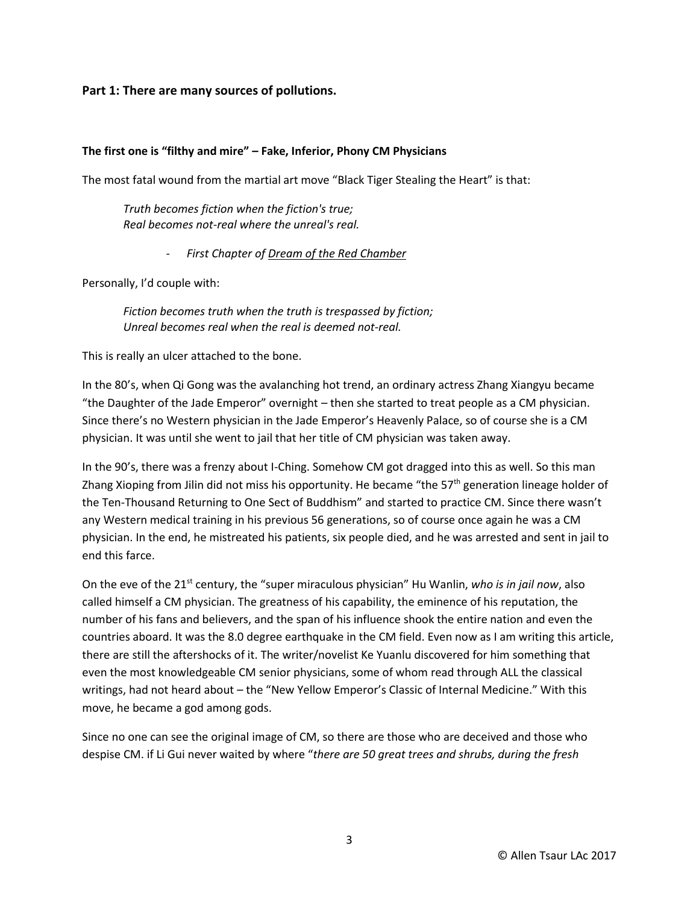### **Part 1: There are many sources of pollutions.**

#### **The first one is "filthy and mire" – Fake, Inferior, Phony CM Physicians**

The most fatal wound from the martial art move "Black Tiger Stealing the Heart" is that:

*Truth becomes fiction when the fiction's true; Real becomes not-real where the unreal's real.*

- *First Chapter of Dream of the Red Chamber*

Personally, I'd couple with:

*Fiction becomes truth when the truth is trespassed by fiction; Unreal becomes real when the real is deemed not-real.*

This is really an ulcer attached to the bone.

In the 80's, when Qi Gong was the avalanching hot trend, an ordinary actress Zhang Xiangyu became "the Daughter of the Jade Emperor" overnight – then she started to treat people as a CM physician. Since there's no Western physician in the Jade Emperor's Heavenly Palace, so of course she is a CM physician. It was until she went to jail that her title of CM physician was taken away.

In the 90's, there was a frenzy about I-Ching. Somehow CM got dragged into this as well. So this man Zhang Xioping from Jilin did not miss his opportunity. He became "the  $57<sup>th</sup>$  generation lineage holder of the Ten-Thousand Returning to One Sect of Buddhism" and started to practice CM. Since there wasn't any Western medical training in his previous 56 generations, so of course once again he was a CM physician. In the end, he mistreated his patients, six people died, and he was arrested and sent in jail to end this farce.

On the eve of the 21<sup>st</sup> century, the "super miraculous physician" Hu Wanlin, *who is in jail now*, also called himself a CM physician. The greatness of his capability, the eminence of his reputation, the number of his fans and believers, and the span of his influence shook the entire nation and even the countries aboard. It was the 8.0 degree earthquake in the CM field. Even now as I am writing this article, there are still the aftershocks of it. The writer/novelist Ke Yuanlu discovered for him something that even the most knowledgeable CM senior physicians, some of whom read through ALL the classical writings, had not heard about – the "New Yellow Emperor's Classic of Internal Medicine." With this move, he became a god among gods.

Since no one can see the original image of CM, so there are those who are deceived and those who despise CM. if Li Gui never waited by where "*there are 50 great trees and shrubs, during the fresh*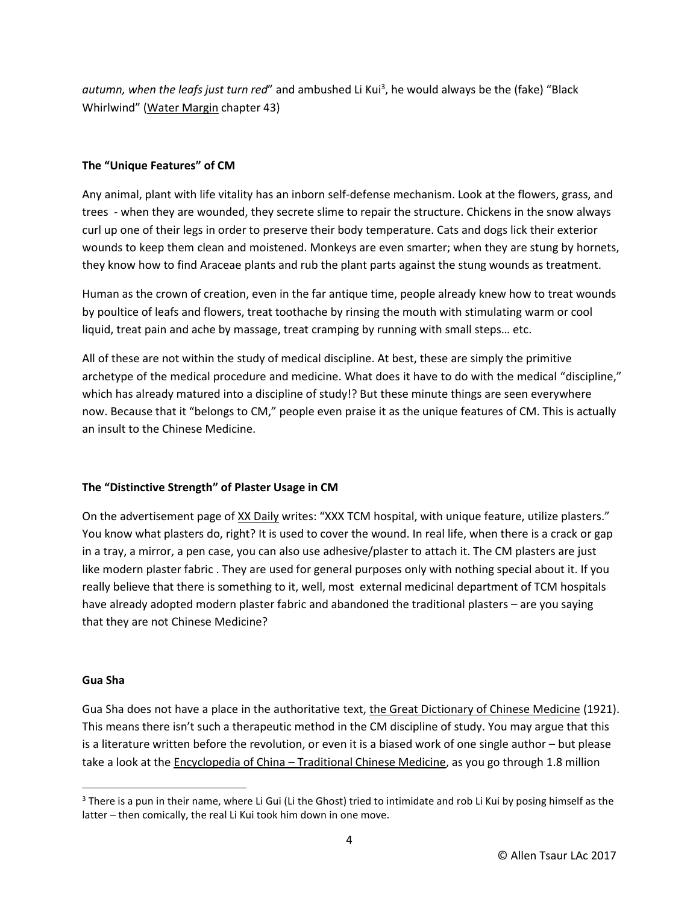autumn, when the leafs just turn red" and ambushed Li Kui<sup>3</sup>, he would always be the (fake) "Black Whirlwind" (Water Margin chapter 43)

### **The "Unique Features" of CM**

Any animal, plant with life vitality has an inborn self-defense mechanism. Look at the flowers, grass, and trees - when they are wounded, they secrete slime to repair the structure. Chickens in the snow always curl up one of their legs in order to preserve their body temperature. Cats and dogs lick their exterior wounds to keep them clean and moistened. Monkeys are even smarter; when they are stung by hornets, they know how to find Araceae plants and rub the plant parts against the stung wounds as treatment.

Human as the crown of creation, even in the far antique time, people already knew how to treat wounds by poultice of leafs and flowers, treat toothache by rinsing the mouth with stimulating warm or cool liquid, treat pain and ache by massage, treat cramping by running with small steps… etc.

All of these are not within the study of medical discipline. At best, these are simply the primitive archetype of the medical procedure and medicine. What does it have to do with the medical "discipline," which has already matured into a discipline of study!? But these minute things are seen everywhere now. Because that it "belongs to CM," people even praise it as the unique features of CM. This is actually an insult to the Chinese Medicine.

# **The "Distinctive Strength" of Plaster Usage in CM**

On the advertisement page of XX Daily writes: "XXX TCM hospital, with unique feature, utilize plasters." You know what plasters do, right? It is used to cover the wound. In real life, when there is a crack or gap in a tray, a mirror, a pen case, you can also use adhesive/plaster to attach it. The CM plasters are just like modern plaster fabric . They are used for general purposes only with nothing special about it. If you really believe that there is something to it, well, most external medicinal department of TCM hospitals have already adopted modern plaster fabric and abandoned the traditional plasters – are you saying that they are not Chinese Medicine?

#### **Gua Sha**

l

Gua Sha does not have a place in the authoritative text, the Great Dictionary of Chinese Medicine (1921). This means there isn't such a therapeutic method in the CM discipline of study. You may argue that this is a literature written before the revolution, or even it is a biased work of one single author – but please take a look at the Encyclopedia of China – Traditional Chinese Medicine, as you go through 1.8 million

 $3$  There is a pun in their name, where Li Gui (Li the Ghost) tried to intimidate and rob Li Kui by posing himself as the latter – then comically, the real Li Kui took him down in one move.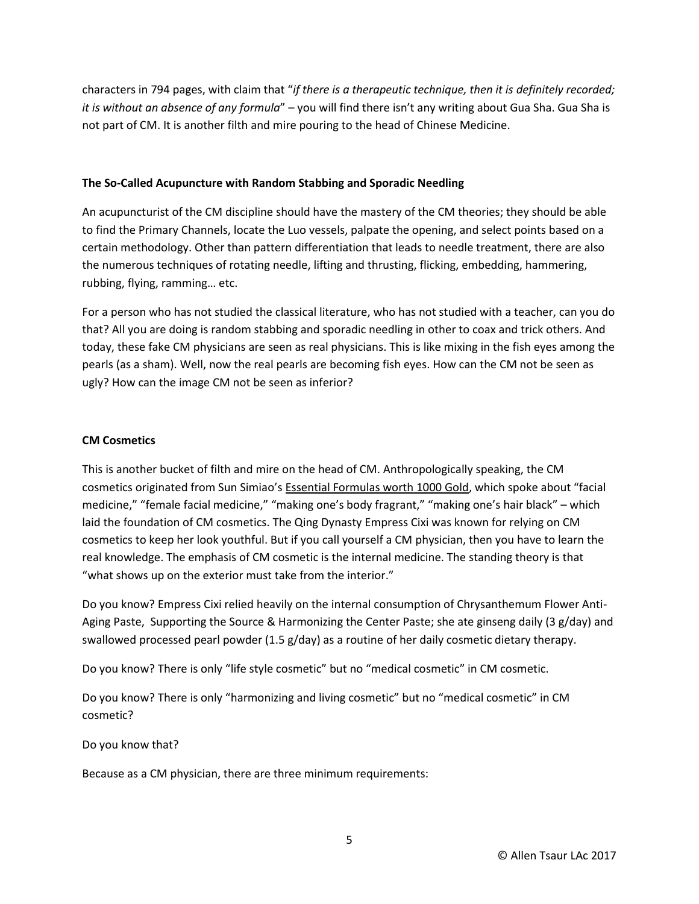characters in 794 pages, with claim that "*if there is a therapeutic technique, then it is definitely recorded; it is without an absence of any formula*" – you will find there isn't any writing about Gua Sha. Gua Sha is not part of CM. It is another filth and mire pouring to the head of Chinese Medicine.

#### **The So-Called Acupuncture with Random Stabbing and Sporadic Needling**

An acupuncturist of the CM discipline should have the mastery of the CM theories; they should be able to find the Primary Channels, locate the Luo vessels, palpate the opening, and select points based on a certain methodology. Other than pattern differentiation that leads to needle treatment, there are also the numerous techniques of rotating needle, lifting and thrusting, flicking, embedding, hammering, rubbing, flying, ramming… etc.

For a person who has not studied the classical literature, who has not studied with a teacher, can you do that? All you are doing is random stabbing and sporadic needling in other to coax and trick others. And today, these fake CM physicians are seen as real physicians. This is like mixing in the fish eyes among the pearls (as a sham). Well, now the real pearls are becoming fish eyes. How can the CM not be seen as ugly? How can the image CM not be seen as inferior?

#### **CM Cosmetics**

This is another bucket of filth and mire on the head of CM. Anthropologically speaking, the CM cosmetics originated from Sun Simiao's Essential Formulas worth 1000 Gold, which spoke about "facial medicine," "female facial medicine," "making one's body fragrant," "making one's hair black" – which laid the foundation of CM cosmetics. The Qing Dynasty Empress Cixi was known for relying on CM cosmetics to keep her look youthful. But if you call yourself a CM physician, then you have to learn the real knowledge. The emphasis of CM cosmetic is the internal medicine. The standing theory is that "what shows up on the exterior must take from the interior."

Do you know? Empress Cixi relied heavily on the internal consumption of Chrysanthemum Flower Anti-Aging Paste, Supporting the Source & Harmonizing the Center Paste; she ate ginseng daily (3 g/day) and swallowed processed pearl powder (1.5 g/day) as a routine of her daily cosmetic dietary therapy.

Do you know? There is only "life style cosmetic" but no "medical cosmetic" in CM cosmetic.

Do you know? There is only "harmonizing and living cosmetic" but no "medical cosmetic" in CM cosmetic?

Do you know that?

Because as a CM physician, there are three minimum requirements: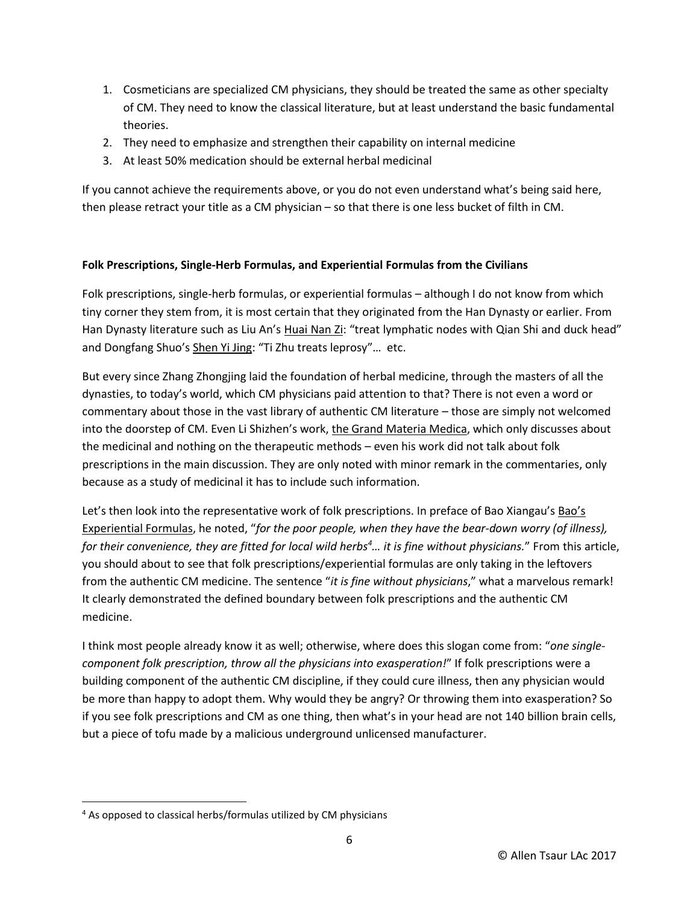- 1. Cosmeticians are specialized CM physicians, they should be treated the same as other specialty of CM. They need to know the classical literature, but at least understand the basic fundamental theories.
- 2. They need to emphasize and strengthen their capability on internal medicine
- 3. At least 50% medication should be external herbal medicinal

If you cannot achieve the requirements above, or you do not even understand what's being said here, then please retract your title as a CM physician – so that there is one less bucket of filth in CM.

# **Folk Prescriptions, Single-Herb Formulas, and Experiential Formulas from the Civilians**

Folk prescriptions, single-herb formulas, or experiential formulas – although I do not know from which tiny corner they stem from, it is most certain that they originated from the Han Dynasty or earlier. From Han Dynasty literature such as Liu An's Huai Nan Zi: "treat lymphatic nodes with Qian Shi and duck head" and Dongfang Shuo's Shen Yi Jing: "Ti Zhu treats leprosy"… etc.

But every since Zhang Zhongjing laid the foundation of herbal medicine, through the masters of all the dynasties, to today's world, which CM physicians paid attention to that? There is not even a word or commentary about those in the vast library of authentic CM literature – those are simply not welcomed into the doorstep of CM. Even Li Shizhen's work, the Grand Materia Medica, which only discusses about the medicinal and nothing on the therapeutic methods – even his work did not talk about folk prescriptions in the main discussion. They are only noted with minor remark in the commentaries, only because as a study of medicinal it has to include such information.

Let's then look into the representative work of folk prescriptions. In preface of Bao Xiangau's Bao's Experiential Formulas, he noted, "*for the poor people, when they have the bear-down worry (of illness), for their convenience, they are fitted for local wild herbs<sup>4</sup>… it is fine without physicians.*" From this article, you should about to see that folk prescriptions/experiential formulas are only taking in the leftovers from the authentic CM medicine. The sentence "*it is fine without physicians*," what a marvelous remark! It clearly demonstrated the defined boundary between folk prescriptions and the authentic CM medicine.

I think most people already know it as well; otherwise, where does this slogan come from: "*one singlecomponent folk prescription, throw all the physicians into exasperation!*" If folk prescriptions were a building component of the authentic CM discipline, if they could cure illness, then any physician would be more than happy to adopt them. Why would they be angry? Or throwing them into exasperation? So if you see folk prescriptions and CM as one thing, then what's in your head are not 140 billion brain cells, but a piece of tofu made by a malicious underground unlicensed manufacturer.

 $\overline{\phantom{a}}$ 

<sup>&</sup>lt;sup>4</sup> As opposed to classical herbs/formulas utilized by CM physicians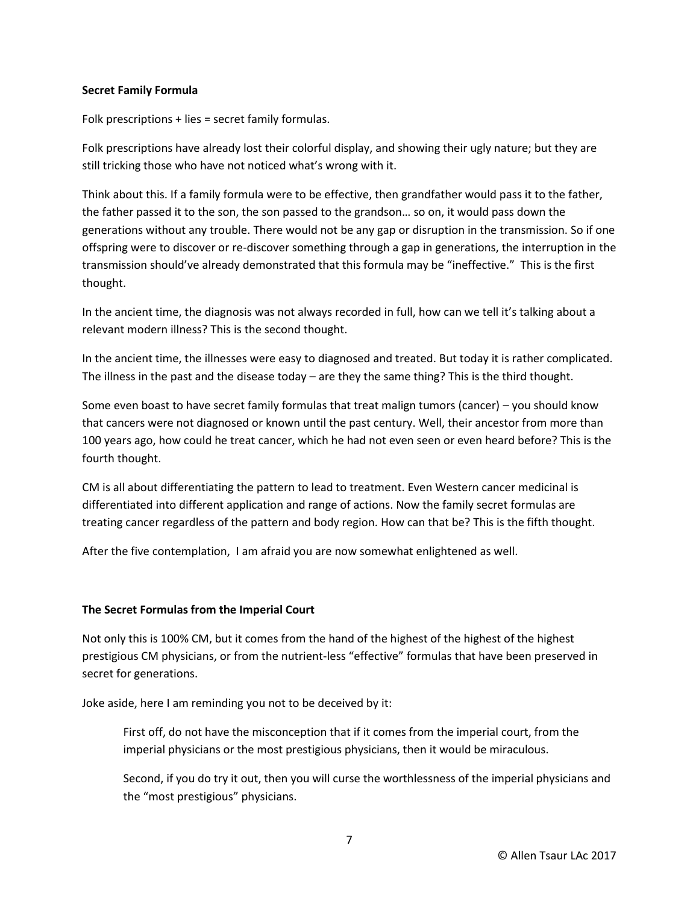#### **Secret Family Formula**

Folk prescriptions + lies = secret family formulas.

Folk prescriptions have already lost their colorful display, and showing their ugly nature; but they are still tricking those who have not noticed what's wrong with it.

Think about this. If a family formula were to be effective, then grandfather would pass it to the father, the father passed it to the son, the son passed to the grandson… so on, it would pass down the generations without any trouble. There would not be any gap or disruption in the transmission. So if one offspring were to discover or re-discover something through a gap in generations, the interruption in the transmission should've already demonstrated that this formula may be "ineffective." This is the first thought.

In the ancient time, the diagnosis was not always recorded in full, how can we tell it's talking about a relevant modern illness? This is the second thought.

In the ancient time, the illnesses were easy to diagnosed and treated. But today it is rather complicated. The illness in the past and the disease today – are they the same thing? This is the third thought.

Some even boast to have secret family formulas that treat malign tumors (cancer) – you should know that cancers were not diagnosed or known until the past century. Well, their ancestor from more than 100 years ago, how could he treat cancer, which he had not even seen or even heard before? This is the fourth thought.

CM is all about differentiating the pattern to lead to treatment. Even Western cancer medicinal is differentiated into different application and range of actions. Now the family secret formulas are treating cancer regardless of the pattern and body region. How can that be? This is the fifth thought.

After the five contemplation, I am afraid you are now somewhat enlightened as well.

#### **The Secret Formulas from the Imperial Court**

Not only this is 100% CM, but it comes from the hand of the highest of the highest of the highest prestigious CM physicians, or from the nutrient-less "effective" formulas that have been preserved in secret for generations.

Joke aside, here I am reminding you not to be deceived by it:

First off, do not have the misconception that if it comes from the imperial court, from the imperial physicians or the most prestigious physicians, then it would be miraculous.

Second, if you do try it out, then you will curse the worthlessness of the imperial physicians and the "most prestigious" physicians.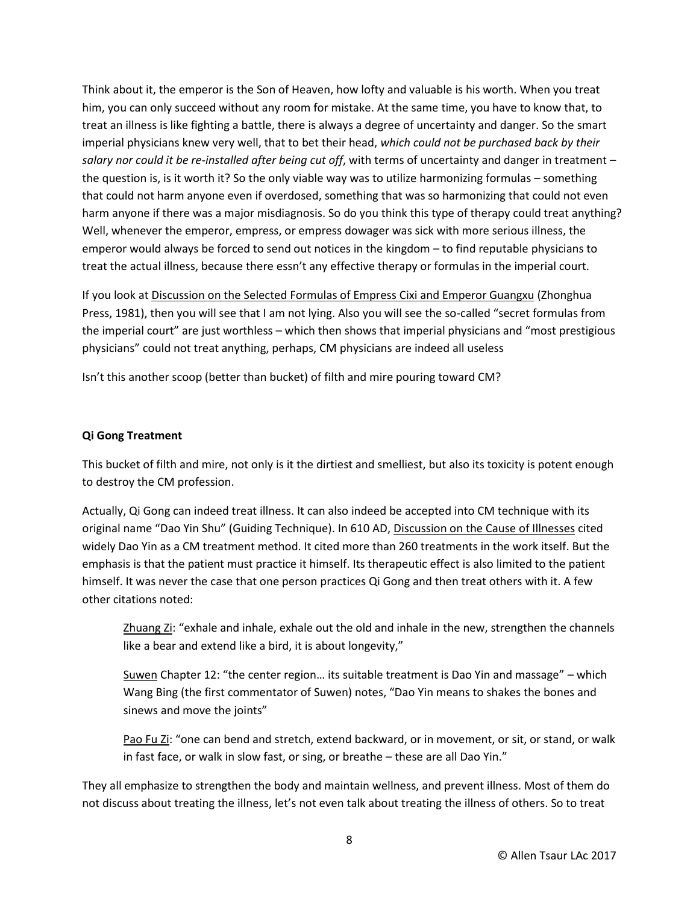Think about it, the emperor is the Son of Heaven, how lofty and valuable is his worth. When you treat him, you can only succeed without any room for mistake. At the same time, you have to know that, to treat an illness is like fighting a battle, there is always a degree of uncertainty and danger. So the smart imperial physicians knew very well, that to bet their head, *which could not be purchased back by their salary nor could it be re-installed after being cut off*, with terms of uncertainty and danger in treatment – the question is, is it worth it? So the only viable way was to utilize harmonizing formulas – something that could not harm anyone even if overdosed, something that was so harmonizing that could not even harm anyone if there was a major misdiagnosis. So do you think this type of therapy could treat anything? Well, whenever the emperor, empress, or empress dowager was sick with more serious illness, the emperor would always be forced to send out notices in the kingdom – to find reputable physicians to treat the actual illness, because there essn't any effective therapy or formulas in the imperial court.

If you look at Discussion on the Selected Formulas of Empress Cixi and Emperor Guangxu (Zhonghua Press, 1981), then you will see that I am not lying. Also you will see the so-called "secret formulas from the imperial court" are just worthless – which then shows that imperial physicians and "most prestigious physicians" could not treat anything, perhaps, CM physicians are indeed all useless

Isn't this another scoop (better than bucket) of filth and mire pouring toward CM?

### **Qi Gong Treatment**

This bucket of filth and mire, not only is it the dirtiest and smelliest, but also its toxicity is potent enough to destroy the CM profession.

Actually, Qi Gong can indeed treat illness. It can also indeed be accepted into CM technique with its original name "Dao Yin Shu" (Guiding Technique). In 610 AD, Discussion on the Cause of Illnesses cited widely Dao Yin as a CM treatment method. It cited more than 260 treatments in the work itself. But the emphasis is that the patient must practice it himself. Its therapeutic effect is also limited to the patient himself. It was never the case that one person practices Qi Gong and then treat others with it. A few other citations noted:

Zhuang Zi: "exhale and inhale, exhale out the old and inhale in the new, strengthen the channels like a bear and extend like a bird, it is about longevity,"

Suwen Chapter 12: "the center region… its suitable treatment is Dao Yin and massage" – which Wang Bing (the first commentator of Suwen) notes, "Dao Yin means to shakes the bones and sinews and move the joints"

Pao Fu Zi: "one can bend and stretch, extend backward, or in movement, or sit, or stand, or walk in fast face, or walk in slow fast, or sing, or breathe – these are all Dao Yin."

They all emphasize to strengthen the body and maintain wellness, and prevent illness. Most of them do not discuss about treating the illness, let's not even talk about treating the illness of others. So to treat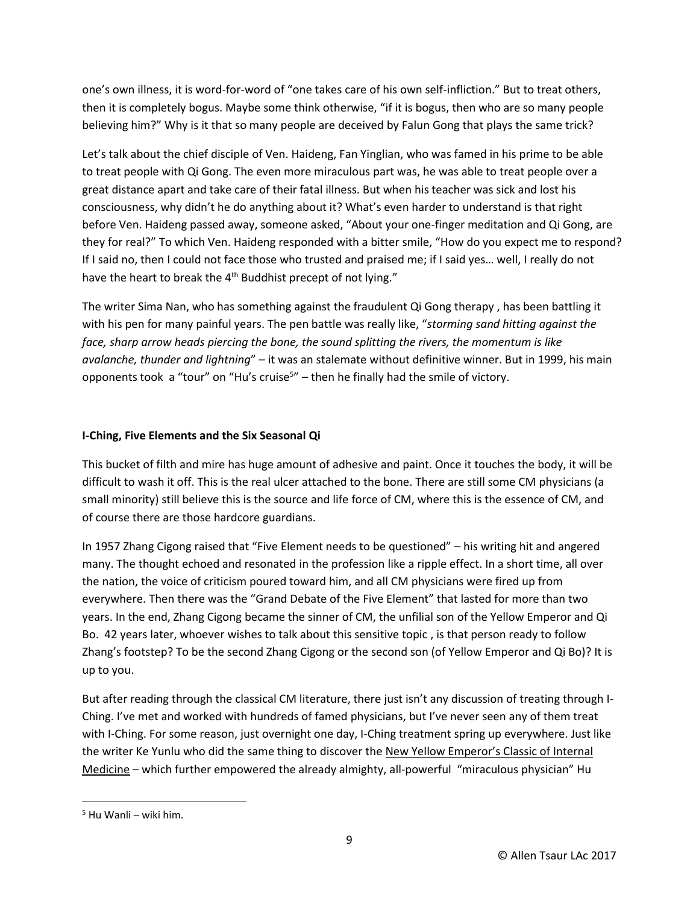one's own illness, it is word-for-word of "one takes care of his own self-infliction." But to treat others, then it is completely bogus. Maybe some think otherwise, "if it is bogus, then who are so many people believing him?" Why is it that so many people are deceived by Falun Gong that plays the same trick?

Let's talk about the chief disciple of Ven. Haideng, Fan Yinglian, who was famed in his prime to be able to treat people with Qi Gong. The even more miraculous part was, he was able to treat people over a great distance apart and take care of their fatal illness. But when his teacher was sick and lost his consciousness, why didn't he do anything about it? What's even harder to understand is that right before Ven. Haideng passed away, someone asked, "About your one-finger meditation and Qi Gong, are they for real?" To which Ven. Haideng responded with a bitter smile, "How do you expect me to respond? If I said no, then I could not face those who trusted and praised me; if I said yes... well, I really do not have the heart to break the 4<sup>th</sup> Buddhist precept of not lying."

The writer Sima Nan, who has something against the fraudulent Qi Gong therapy , has been battling it with his pen for many painful years. The pen battle was really like, "*storming sand hitting against the face, sharp arrow heads piercing the bone, the sound splitting the rivers, the momentum is like avalanche, thunder and lightning*" – it was an stalemate without definitive winner. But in 1999, his main opponents took a "tour" on "Hu's cruise<sup>5</sup>" – then he finally had the smile of victory.

### **I-Ching, Five Elements and the Six Seasonal Qi**

This bucket of filth and mire has huge amount of adhesive and paint. Once it touches the body, it will be difficult to wash it off. This is the real ulcer attached to the bone. There are still some CM physicians (a small minority) still believe this is the source and life force of CM, where this is the essence of CM, and of course there are those hardcore guardians.

In 1957 Zhang Cigong raised that "Five Element needs to be questioned" – his writing hit and angered many. The thought echoed and resonated in the profession like a ripple effect. In a short time, all over the nation, the voice of criticism poured toward him, and all CM physicians were fired up from everywhere. Then there was the "Grand Debate of the Five Element" that lasted for more than two years. In the end, Zhang Cigong became the sinner of CM, the unfilial son of the Yellow Emperor and Qi Bo. 42 years later, whoever wishes to talk about this sensitive topic , is that person ready to follow Zhang's footstep? To be the second Zhang Cigong or the second son (of Yellow Emperor and Qi Bo)? It is up to you.

But after reading through the classical CM literature, there just isn't any discussion of treating through I-Ching. I've met and worked with hundreds of famed physicians, but I've never seen any of them treat with I-Ching. For some reason, just overnight one day, I-Ching treatment spring up everywhere. Just like the writer Ke Yunlu who did the same thing to discover the New Yellow Emperor's Classic of Internal Medicine – which further empowered the already almighty, all-powerful "miraculous physician" Hu

 $\overline{\phantom{a}}$ 

<sup>5</sup> Hu Wanli – wiki him.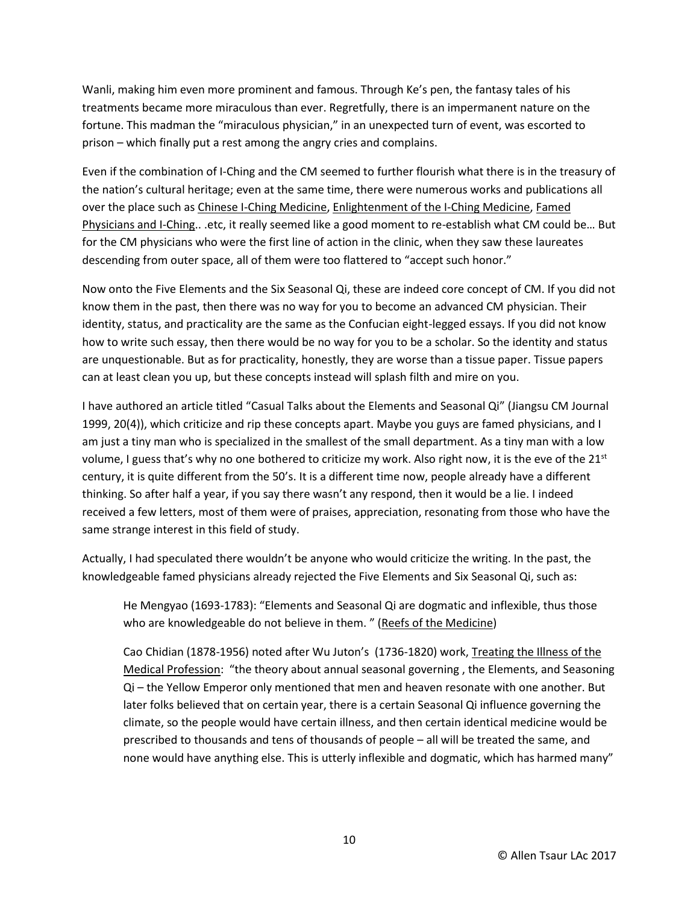Wanli, making him even more prominent and famous. Through Ke's pen, the fantasy tales of his treatments became more miraculous than ever. Regretfully, there is an impermanent nature on the fortune. This madman the "miraculous physician," in an unexpected turn of event, was escorted to prison – which finally put a rest among the angry cries and complains.

Even if the combination of I-Ching and the CM seemed to further flourish what there is in the treasury of the nation's cultural heritage; even at the same time, there were numerous works and publications all over the place such as Chinese I-Ching Medicine, Enlightenment of the I-Ching Medicine, Famed Physicians and I-Ching.. .etc, it really seemed like a good moment to re-establish what CM could be… But for the CM physicians who were the first line of action in the clinic, when they saw these laureates descending from outer space, all of them were too flattered to "accept such honor."

Now onto the Five Elements and the Six Seasonal Qi, these are indeed core concept of CM. If you did not know them in the past, then there was no way for you to become an advanced CM physician. Their identity, status, and practicality are the same as the Confucian eight-legged essays. If you did not know how to write such essay, then there would be no way for you to be a scholar. So the identity and status are unquestionable. But as for practicality, honestly, they are worse than a tissue paper. Tissue papers can at least clean you up, but these concepts instead will splash filth and mire on you.

I have authored an article titled "Casual Talks about the Elements and Seasonal Qi" (Jiangsu CM Journal 1999, 20(4)), which criticize and rip these concepts apart. Maybe you guys are famed physicians, and I am just a tiny man who is specialized in the smallest of the small department. As a tiny man with a low volume, I guess that's why no one bothered to criticize my work. Also right now, it is the eve of the 21<sup>st</sup> century, it is quite different from the 50's. It is a different time now, people already have a different thinking. So after half a year, if you say there wasn't any respond, then it would be a lie. I indeed received a few letters, most of them were of praises, appreciation, resonating from those who have the same strange interest in this field of study.

Actually, I had speculated there wouldn't be anyone who would criticize the writing. In the past, the knowledgeable famed physicians already rejected the Five Elements and Six Seasonal Qi, such as:

He Mengyao (1693-1783): "Elements and Seasonal Qi are dogmatic and inflexible, thus those who are knowledgeable do not believe in them. " (Reefs of the Medicine)

Cao Chidian (1878-1956) noted after Wu Juton's (1736-1820) work, Treating the Illness of the Medical Profession: "the theory about annual seasonal governing , the Elements, and Seasoning Qi – the Yellow Emperor only mentioned that men and heaven resonate with one another. But later folks believed that on certain year, there is a certain Seasonal Qi influence governing the climate, so the people would have certain illness, and then certain identical medicine would be prescribed to thousands and tens of thousands of people – all will be treated the same, and none would have anything else. This is utterly inflexible and dogmatic, which has harmed many"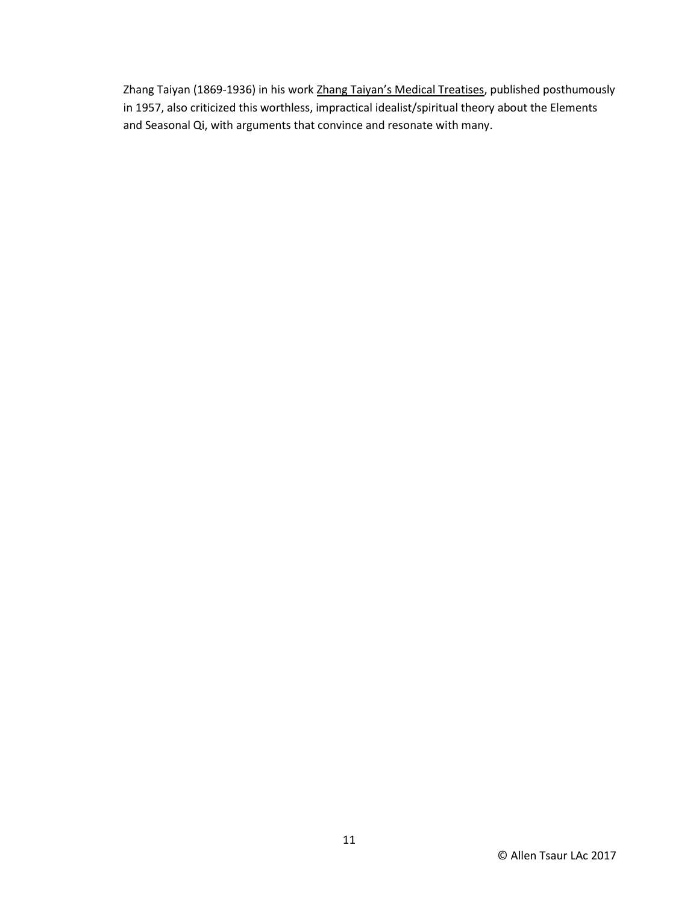Zhang Taiyan (1869-1936) in his work Zhang Taiyan's Medical Treatises, published posthumously in 1957, also criticized this worthless, impractical idealist/spiritual theory about the Elements and Seasonal Qi, with arguments that convince and resonate with many.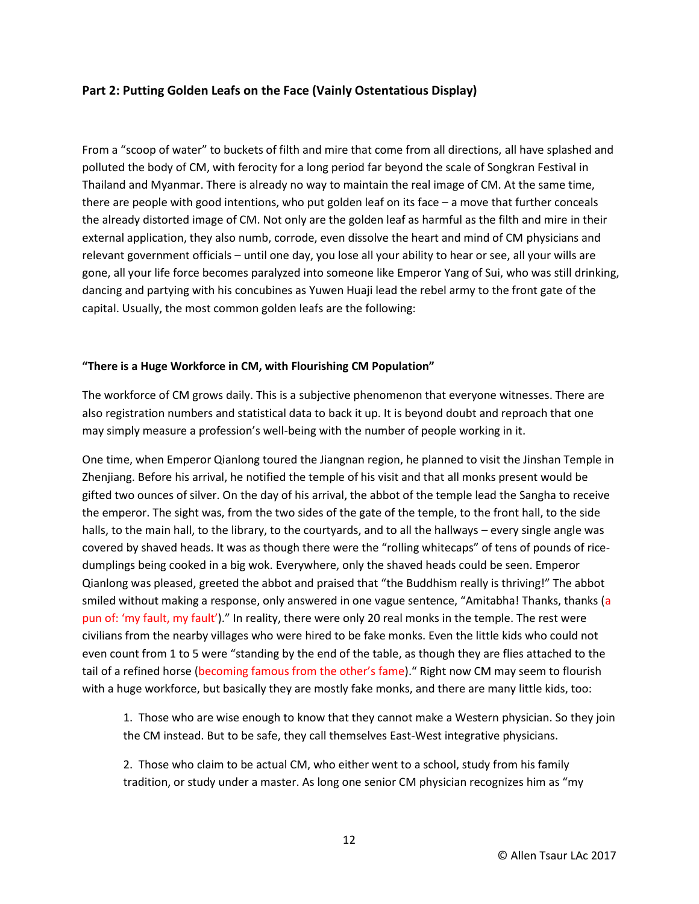## **Part 2: Putting Golden Leafs on the Face (Vainly Ostentatious Display)**

From a "scoop of water" to buckets of filth and mire that come from all directions, all have splashed and polluted the body of CM, with ferocity for a long period far beyond the scale of Songkran Festival in Thailand and Myanmar. There is already no way to maintain the real image of CM. At the same time, there are people with good intentions, who put golden leaf on its face – a move that further conceals the already distorted image of CM. Not only are the golden leaf as harmful as the filth and mire in their external application, they also numb, corrode, even dissolve the heart and mind of CM physicians and relevant government officials – until one day, you lose all your ability to hear or see, all your wills are gone, all your life force becomes paralyzed into someone like Emperor Yang of Sui, who was still drinking, dancing and partying with his concubines as Yuwen Huaji lead the rebel army to the front gate of the capital. Usually, the most common golden leafs are the following:

#### **"There is a Huge Workforce in CM, with Flourishing CM Population"**

The workforce of CM grows daily. This is a subjective phenomenon that everyone witnesses. There are also registration numbers and statistical data to back it up. It is beyond doubt and reproach that one may simply measure a profession's well-being with the number of people working in it.

One time, when Emperor Qianlong toured the Jiangnan region, he planned to visit the Jinshan Temple in Zhenjiang. Before his arrival, he notified the temple of his visit and that all monks present would be gifted two ounces of silver. On the day of his arrival, the abbot of the temple lead the Sangha to receive the emperor. The sight was, from the two sides of the gate of the temple, to the front hall, to the side halls, to the main hall, to the library, to the courtyards, and to all the hallways – every single angle was covered by shaved heads. It was as though there were the "rolling whitecaps" of tens of pounds of ricedumplings being cooked in a big wok. Everywhere, only the shaved heads could be seen. Emperor Qianlong was pleased, greeted the abbot and praised that "the Buddhism really is thriving!" The abbot smiled without making a response, only answered in one vague sentence, "Amitabha! Thanks, thanks (a pun of: 'my fault, my fault')." In reality, there were only 20 real monks in the temple. The rest were civilians from the nearby villages who were hired to be fake monks. Even the little kids who could not even count from 1 to 5 were "standing by the end of the table, as though they are flies attached to the tail of a refined horse (becoming famous from the other's fame)." Right now CM may seem to flourish with a huge workforce, but basically they are mostly fake monks, and there are many little kids, too:

1. Those who are wise enough to know that they cannot make a Western physician. So they join the CM instead. But to be safe, they call themselves East-West integrative physicians.

2. Those who claim to be actual CM, who either went to a school, study from his family tradition, or study under a master. As long one senior CM physician recognizes him as "my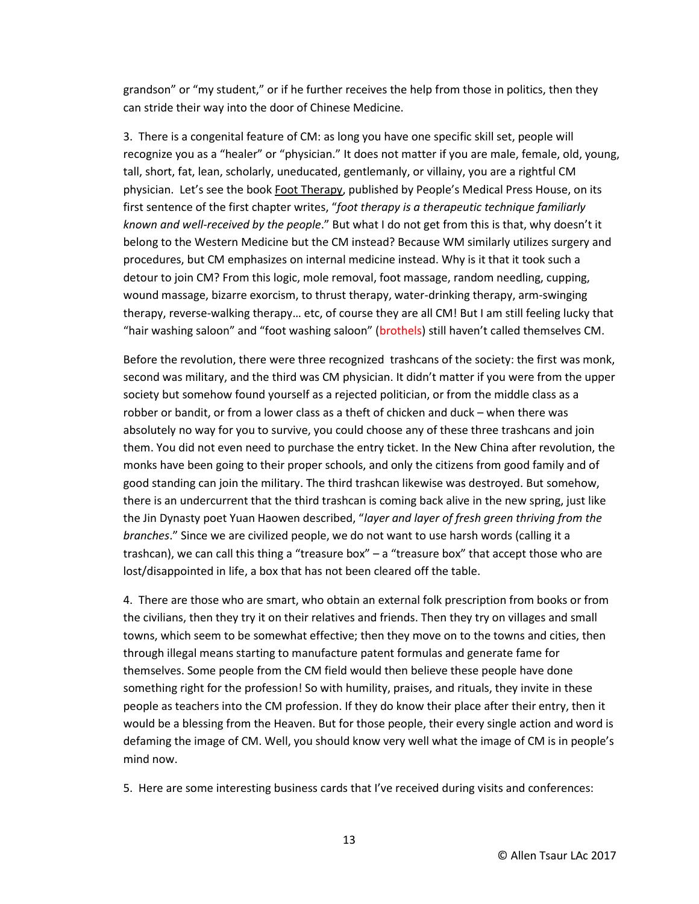grandson" or "my student," or if he further receives the help from those in politics, then they can stride their way into the door of Chinese Medicine.

3. There is a congenital feature of CM: as long you have one specific skill set, people will recognize you as a "healer" or "physician." It does not matter if you are male, female, old, young, tall, short, fat, lean, scholarly, uneducated, gentlemanly, or villainy, you are a rightful CM physician. Let's see the book Foot Therapy, published by People's Medical Press House, on its first sentence of the first chapter writes, "*foot therapy is a therapeutic technique familiarly known and well-received by the people*." But what I do not get from this is that, why doesn't it belong to the Western Medicine but the CM instead? Because WM similarly utilizes surgery and procedures, but CM emphasizes on internal medicine instead. Why is it that it took such a detour to join CM? From this logic, mole removal, foot massage, random needling, cupping, wound massage, bizarre exorcism, to thrust therapy, water-drinking therapy, arm-swinging therapy, reverse-walking therapy… etc, of course they are all CM! But I am still feeling lucky that "hair washing saloon" and "foot washing saloon" (brothels) still haven't called themselves CM.

Before the revolution, there were three recognized trashcans of the society: the first was monk, second was military, and the third was CM physician. It didn't matter if you were from the upper society but somehow found yourself as a rejected politician, or from the middle class as a robber or bandit, or from a lower class as a theft of chicken and duck – when there was absolutely no way for you to survive, you could choose any of these three trashcans and join them. You did not even need to purchase the entry ticket. In the New China after revolution, the monks have been going to their proper schools, and only the citizens from good family and of good standing can join the military. The third trashcan likewise was destroyed. But somehow, there is an undercurrent that the third trashcan is coming back alive in the new spring, just like the Jin Dynasty poet Yuan Haowen described, "*layer and layer of fresh green thriving from the branches*." Since we are civilized people, we do not want to use harsh words (calling it a trashcan), we can call this thing a "treasure box"  $-$  a "treasure box" that accept those who are lost/disappointed in life, a box that has not been cleared off the table.

4. There are those who are smart, who obtain an external folk prescription from books or from the civilians, then they try it on their relatives and friends. Then they try on villages and small towns, which seem to be somewhat effective; then they move on to the towns and cities, then through illegal means starting to manufacture patent formulas and generate fame for themselves. Some people from the CM field would then believe these people have done something right for the profession! So with humility, praises, and rituals, they invite in these people as teachers into the CM profession. If they do know their place after their entry, then it would be a blessing from the Heaven. But for those people, their every single action and word is defaming the image of CM. Well, you should know very well what the image of CM is in people's mind now.

5. Here are some interesting business cards that I've received during visits and conferences: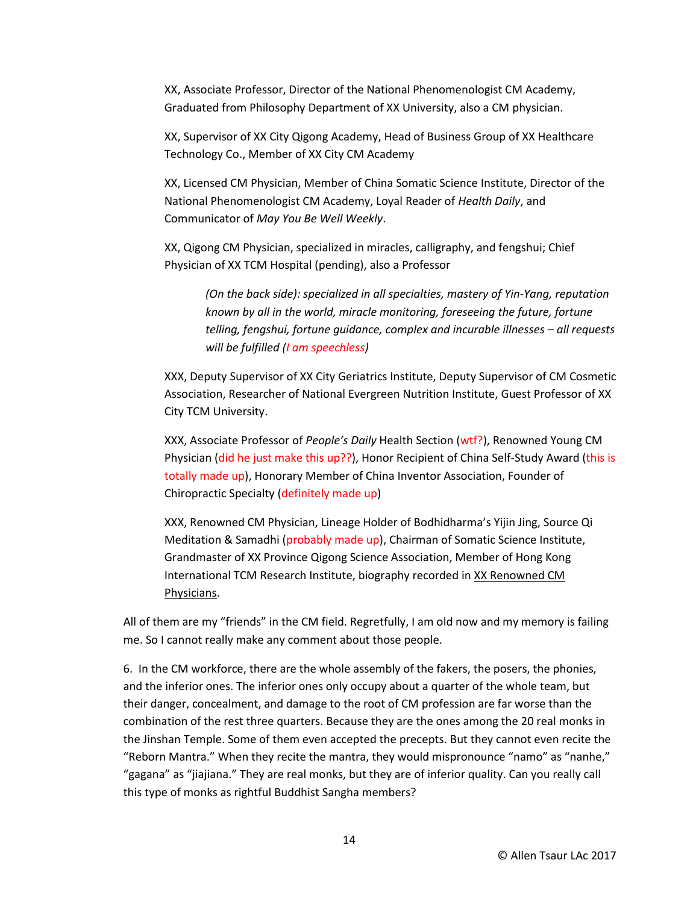XX, Associate Professor, Director of the National Phenomenologist CM Academy, Graduated from Philosophy Department of XX University, also a CM physician.

XX, Supervisor of XX City Qigong Academy, Head of Business Group of XX Healthcare Technology Co., Member of XX City CM Academy

XX, Licensed CM Physician, Member of China Somatic Science Institute, Director of the National Phenomenologist CM Academy, Loyal Reader of *Health Daily*, and Communicator of *May You Be Well Weekly*.

XX, Qigong CM Physician, specialized in miracles, calligraphy, and fengshui; Chief Physician of XX TCM Hospital (pending), also a Professor

*(On the back side): specialized in all specialties, mastery of Yin-Yang, reputation known by all in the world, miracle monitoring, foreseeing the future, fortune telling, fengshui, fortune guidance, complex and incurable illnesses – all requests will be fulfilled (I am speechless)*

XXX, Deputy Supervisor of XX City Geriatrics Institute, Deputy Supervisor of CM Cosmetic Association, Researcher of National Evergreen Nutrition Institute, Guest Professor of XX City TCM University.

XXX, Associate Professor of *People's Daily* Health Section (wtf?), Renowned Young CM Physician (did he just make this up??), Honor Recipient of China Self-Study Award (this is totally made up), Honorary Member of China Inventor Association, Founder of Chiropractic Specialty (definitely made up)

XXX, Renowned CM Physician, Lineage Holder of Bodhidharma's Yijin Jing, Source Qi Meditation & Samadhi (probably made up), Chairman of Somatic Science Institute, Grandmaster of XX Province Qigong Science Association, Member of Hong Kong International TCM Research Institute, biography recorded in XX Renowned CM Physicians.

All of them are my "friends" in the CM field. Regretfully, I am old now and my memory is failing me. So I cannot really make any comment about those people.

6. In the CM workforce, there are the whole assembly of the fakers, the posers, the phonies, and the inferior ones. The inferior ones only occupy about a quarter of the whole team, but their danger, concealment, and damage to the root of CM profession are far worse than the combination of the rest three quarters. Because they are the ones among the 20 real monks in the Jinshan Temple. Some of them even accepted the precepts. But they cannot even recite the "Reborn Mantra." When they recite the mantra, they would mispronounce "namo" as "nanhe," "gagana" as "jiajiana." They are real monks, but they are of inferior quality. Can you really call this type of monks as rightful Buddhist Sangha members?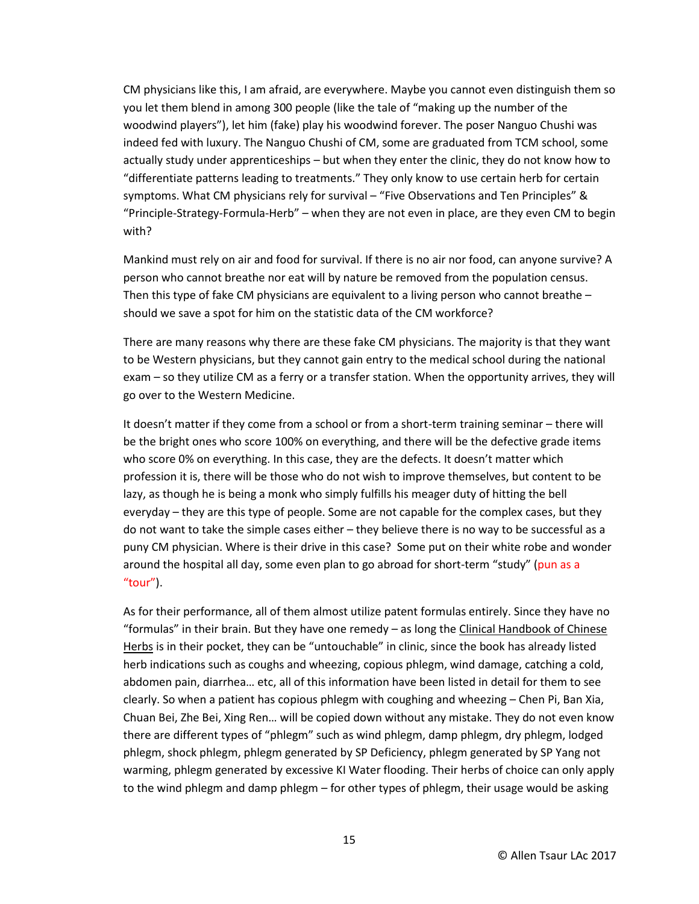CM physicians like this, I am afraid, are everywhere. Maybe you cannot even distinguish them so you let them blend in among 300 people (like the tale of "making up the number of the woodwind players"), let him (fake) play his woodwind forever. The poser Nanguo Chushi was indeed fed with luxury. The Nanguo Chushi of CM, some are graduated from TCM school, some actually study under apprenticeships – but when they enter the clinic, they do not know how to "differentiate patterns leading to treatments." They only know to use certain herb for certain symptoms. What CM physicians rely for survival – "Five Observations and Ten Principles" & "Principle-Strategy-Formula-Herb" – when they are not even in place, are they even CM to begin with?

Mankind must rely on air and food for survival. If there is no air nor food, can anyone survive? A person who cannot breathe nor eat will by nature be removed from the population census. Then this type of fake CM physicians are equivalent to a living person who cannot breathe  $$ should we save a spot for him on the statistic data of the CM workforce?

There are many reasons why there are these fake CM physicians. The majority is that they want to be Western physicians, but they cannot gain entry to the medical school during the national exam – so they utilize CM as a ferry or a transfer station. When the opportunity arrives, they will go over to the Western Medicine.

It doesn't matter if they come from a school or from a short-term training seminar – there will be the bright ones who score 100% on everything, and there will be the defective grade items who score 0% on everything. In this case, they are the defects. It doesn't matter which profession it is, there will be those who do not wish to improve themselves, but content to be lazy, as though he is being a monk who simply fulfills his meager duty of hitting the bell everyday – they are this type of people. Some are not capable for the complex cases, but they do not want to take the simple cases either – they believe there is no way to be successful as a puny CM physician. Where is their drive in this case? Some put on their white robe and wonder around the hospital all day, some even plan to go abroad for short-term "study" (pun as a "tour").

As for their performance, all of them almost utilize patent formulas entirely. Since they have no "formulas" in their brain. But they have one remedy – as long the Clinical Handbook of Chinese Herbs is in their pocket, they can be "untouchable" in clinic, since the book has already listed herb indications such as coughs and wheezing, copious phlegm, wind damage, catching a cold, abdomen pain, diarrhea… etc, all of this information have been listed in detail for them to see clearly. So when a patient has copious phlegm with coughing and wheezing – Chen Pi, Ban Xia, Chuan Bei, Zhe Bei, Xing Ren… will be copied down without any mistake. They do not even know there are different types of "phlegm" such as wind phlegm, damp phlegm, dry phlegm, lodged phlegm, shock phlegm, phlegm generated by SP Deficiency, phlegm generated by SP Yang not warming, phlegm generated by excessive KI Water flooding. Their herbs of choice can only apply to the wind phlegm and damp phlegm – for other types of phlegm, their usage would be asking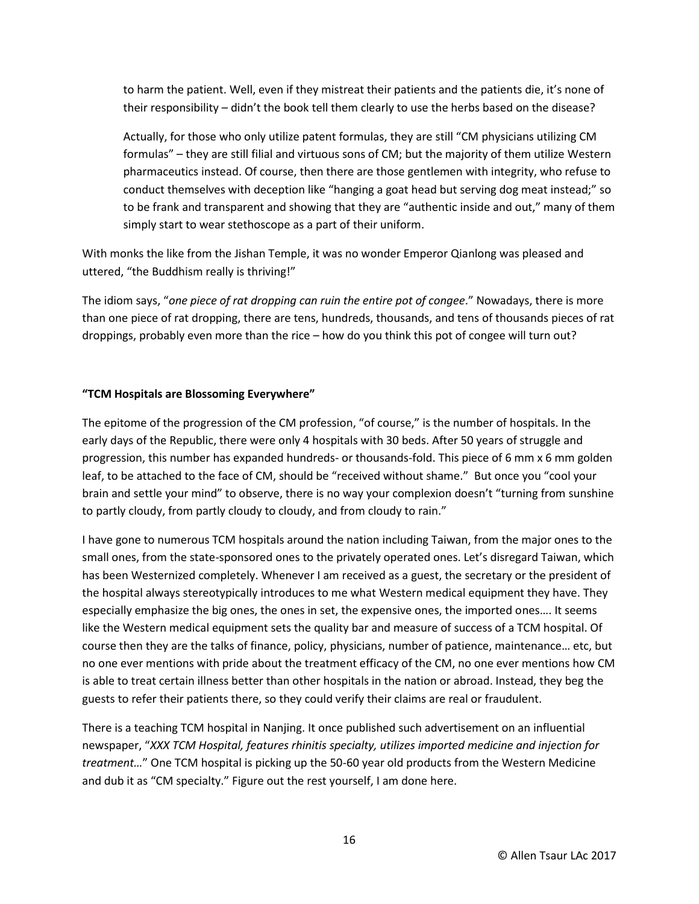to harm the patient. Well, even if they mistreat their patients and the patients die, it's none of their responsibility – didn't the book tell them clearly to use the herbs based on the disease?

Actually, for those who only utilize patent formulas, they are still "CM physicians utilizing CM formulas" – they are still filial and virtuous sons of CM; but the majority of them utilize Western pharmaceutics instead. Of course, then there are those gentlemen with integrity, who refuse to conduct themselves with deception like "hanging a goat head but serving dog meat instead;" so to be frank and transparent and showing that they are "authentic inside and out," many of them simply start to wear stethoscope as a part of their uniform.

With monks the like from the Jishan Temple, it was no wonder Emperor Qianlong was pleased and uttered, "the Buddhism really is thriving!"

The idiom says, "*one piece of rat dropping can ruin the entire pot of congee*." Nowadays, there is more than one piece of rat dropping, there are tens, hundreds, thousands, and tens of thousands pieces of rat droppings, probably even more than the rice – how do you think this pot of congee will turn out?

#### **"TCM Hospitals are Blossoming Everywhere"**

The epitome of the progression of the CM profession, "of course," is the number of hospitals. In the early days of the Republic, there were only 4 hospitals with 30 beds. After 50 years of struggle and progression, this number has expanded hundreds- or thousands-fold. This piece of 6 mm x 6 mm golden leaf, to be attached to the face of CM, should be "received without shame." But once you "cool your brain and settle your mind" to observe, there is no way your complexion doesn't "turning from sunshine to partly cloudy, from partly cloudy to cloudy, and from cloudy to rain."

I have gone to numerous TCM hospitals around the nation including Taiwan, from the major ones to the small ones, from the state-sponsored ones to the privately operated ones. Let's disregard Taiwan, which has been Westernized completely. Whenever I am received as a guest, the secretary or the president of the hospital always stereotypically introduces to me what Western medical equipment they have. They especially emphasize the big ones, the ones in set, the expensive ones, the imported ones…. It seems like the Western medical equipment sets the quality bar and measure of success of a TCM hospital. Of course then they are the talks of finance, policy, physicians, number of patience, maintenance… etc, but no one ever mentions with pride about the treatment efficacy of the CM, no one ever mentions how CM is able to treat certain illness better than other hospitals in the nation or abroad. Instead, they beg the guests to refer their patients there, so they could verify their claims are real or fraudulent.

There is a teaching TCM hospital in Nanjing. It once published such advertisement on an influential newspaper, "*XXX TCM Hospital, features rhinitis specialty, utilizes imported medicine and injection for treatment…*" One TCM hospital is picking up the 50-60 year old products from the Western Medicine and dub it as "CM specialty." Figure out the rest yourself, I am done here.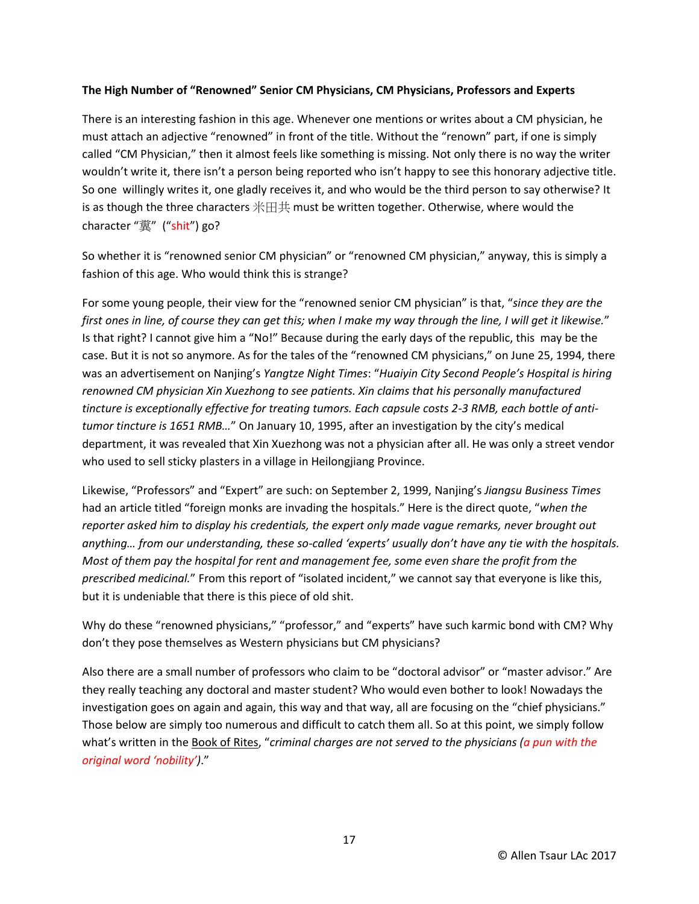#### **The High Number of "Renowned" Senior CM Physicians, CM Physicians, Professors and Experts**

There is an interesting fashion in this age. Whenever one mentions or writes about a CM physician, he must attach an adjective "renowned" in front of the title. Without the "renown" part, if one is simply called "CM Physician," then it almost feels like something is missing. Not only there is no way the writer wouldn't write it, there isn't a person being reported who isn't happy to see this honorary adjective title. So one willingly writes it, one gladly receives it, and who would be the third person to say otherwise? It is as though the three characters 米田共 must be written together. Otherwise, where would the character "糞" ("shit") go?

So whether it is "renowned senior CM physician" or "renowned CM physician," anyway, this is simply a fashion of this age. Who would think this is strange?

For some young people, their view for the "renowned senior CM physician" is that, "*since they are the first ones in line, of course they can get this; when I make my way through the line, I will get it likewise.*" Is that right? I cannot give him a "No!" Because during the early days of the republic, this may be the case. But it is not so anymore. As for the tales of the "renowned CM physicians," on June 25, 1994, there was an advertisement on Nanjing's *Yangtze Night Times*: "*Huaiyin City Second People's Hospital is hiring renowned CM physician Xin Xuezhong to see patients. Xin claims that his personally manufactured tincture is exceptionally effective for treating tumors. Each capsule costs 2-3 RMB, each bottle of antitumor tincture is 1651 RMB…*" On January 10, 1995, after an investigation by the city's medical department, it was revealed that Xin Xuezhong was not a physician after all. He was only a street vendor who used to sell sticky plasters in a village in Heilongjiang Province.

Likewise, "Professors" and "Expert" are such: on September 2, 1999, Nanjing's *Jiangsu Business Times* had an article titled "foreign monks are invading the hospitals." Here is the direct quote, "*when the reporter asked him to display his credentials, the expert only made vague remarks, never brought out anything… from our understanding, these so-called 'experts' usually don't have any tie with the hospitals. Most of them pay the hospital for rent and management fee, some even share the profit from the prescribed medicinal.*" From this report of "isolated incident," we cannot say that everyone is like this, but it is undeniable that there is this piece of old shit.

Why do these "renowned physicians," "professor," and "experts" have such karmic bond with CM? Why don't they pose themselves as Western physicians but CM physicians?

Also there are a small number of professors who claim to be "doctoral advisor" or "master advisor." Are they really teaching any doctoral and master student? Who would even bother to look! Nowadays the investigation goes on again and again, this way and that way, all are focusing on the "chief physicians." Those below are simply too numerous and difficult to catch them all. So at this point, we simply follow what's written in the Book of Rites, "*criminal charges are not served to the physicians (a pun with the original word 'nobility')*."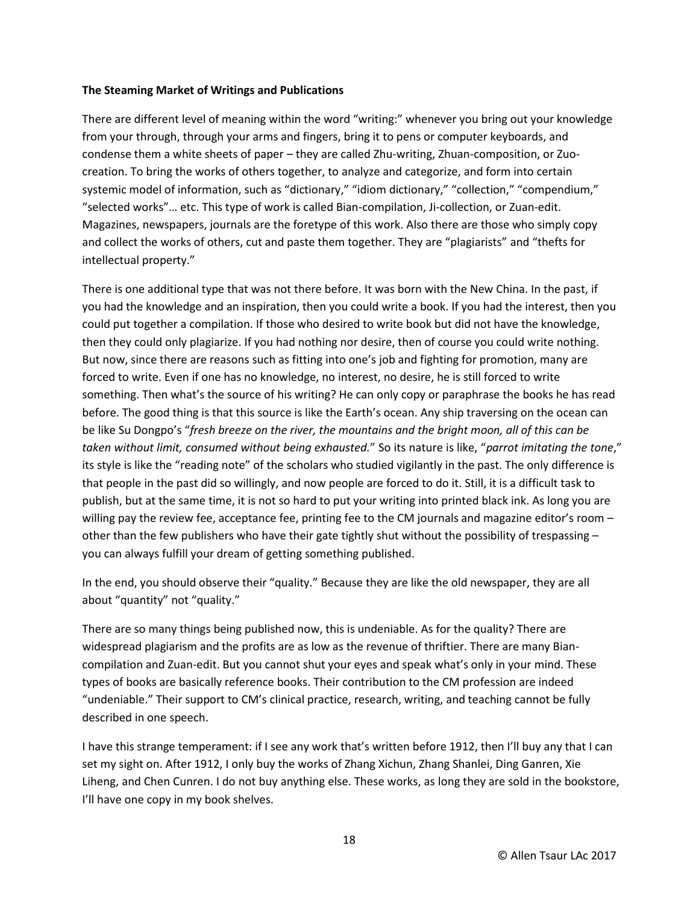#### **The Steaming Market of Writings and Publications**

There are different level of meaning within the word "writing:" whenever you bring out your knowledge from your through, through your arms and fingers, bring it to pens or computer keyboards, and condense them a white sheets of paper – they are called Zhu-writing, Zhuan-composition, or Zuocreation. To bring the works of others together, to analyze and categorize, and form into certain systemic model of information, such as "dictionary," "idiom dictionary," "collection," "compendium," "selected works"… etc. This type of work is called Bian-compilation, Ji-collection, or Zuan-edit. Magazines, newspapers, journals are the foretype of this work. Also there are those who simply copy and collect the works of others, cut and paste them together. They are "plagiarists" and "thefts for intellectual property."

There is one additional type that was not there before. It was born with the New China. In the past, if you had the knowledge and an inspiration, then you could write a book. If you had the interest, then you could put together a compilation. If those who desired to write book but did not have the knowledge, then they could only plagiarize. If you had nothing nor desire, then of course you could write nothing. But now, since there are reasons such as fitting into one's job and fighting for promotion, many are forced to write. Even if one has no knowledge, no interest, no desire, he is still forced to write something. Then what's the source of his writing? He can only copy or paraphrase the books he has read before. The good thing is that this source is like the Earth's ocean. Any ship traversing on the ocean can be like Su Dongpo's "*fresh breeze on the river, the mountains and the bright moon, all of this can be taken without limit, consumed without being exhausted.*" So its nature is like, "*parrot imitating the tone*," its style is like the "reading note" of the scholars who studied vigilantly in the past. The only difference is that people in the past did so willingly, and now people are forced to do it. Still, it is a difficult task to publish, but at the same time, it is not so hard to put your writing into printed black ink. As long you are willing pay the review fee, acceptance fee, printing fee to the CM journals and magazine editor's room other than the few publishers who have their gate tightly shut without the possibility of trespassing – you can always fulfill your dream of getting something published.

In the end, you should observe their "quality." Because they are like the old newspaper, they are all about "quantity" not "quality."

There are so many things being published now, this is undeniable. As for the quality? There are widespread plagiarism and the profits are as low as the revenue of thriftier. There are many Biancompilation and Zuan-edit. But you cannot shut your eyes and speak what's only in your mind. These types of books are basically reference books. Their contribution to the CM profession are indeed "undeniable." Their support to CM's clinical practice, research, writing, and teaching cannot be fully described in one speech.

I have this strange temperament: if I see any work that's written before 1912, then I'll buy any that I can set my sight on. After 1912, I only buy the works of Zhang Xichun, Zhang Shanlei, Ding Ganren, Xie Liheng, and Chen Cunren. I do not buy anything else. These works, as long they are sold in the bookstore, I'll have one copy in my book shelves.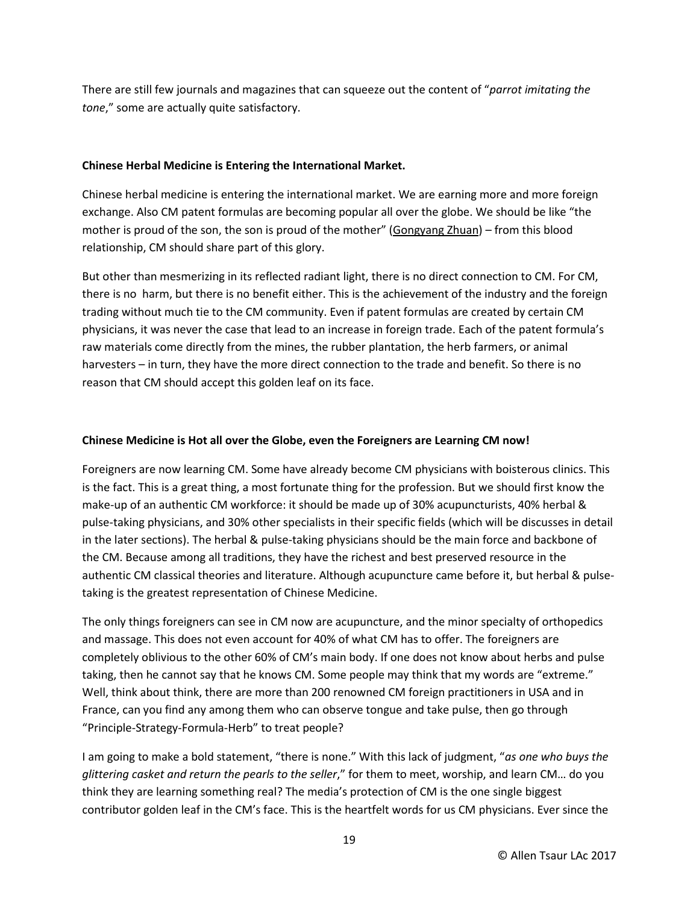There are still few journals and magazines that can squeeze out the content of "*parrot imitating the tone*," some are actually quite satisfactory.

### **Chinese Herbal Medicine is Entering the International Market.**

Chinese herbal medicine is entering the international market. We are earning more and more foreign exchange. Also CM patent formulas are becoming popular all over the globe. We should be like "the mother is proud of the son, the son is proud of the mother" (Gongyang Zhuan) – from this blood relationship, CM should share part of this glory.

But other than mesmerizing in its reflected radiant light, there is no direct connection to CM. For CM, there is no harm, but there is no benefit either. This is the achievement of the industry and the foreign trading without much tie to the CM community. Even if patent formulas are created by certain CM physicians, it was never the case that lead to an increase in foreign trade. Each of the patent formula's raw materials come directly from the mines, the rubber plantation, the herb farmers, or animal harvesters – in turn, they have the more direct connection to the trade and benefit. So there is no reason that CM should accept this golden leaf on its face.

### **Chinese Medicine is Hot all over the Globe, even the Foreigners are Learning CM now!**

Foreigners are now learning CM. Some have already become CM physicians with boisterous clinics. This is the fact. This is a great thing, a most fortunate thing for the profession. But we should first know the make-up of an authentic CM workforce: it should be made up of 30% acupuncturists, 40% herbal & pulse-taking physicians, and 30% other specialists in their specific fields (which will be discusses in detail in the later sections). The herbal & pulse-taking physicians should be the main force and backbone of the CM. Because among all traditions, they have the richest and best preserved resource in the authentic CM classical theories and literature. Although acupuncture came before it, but herbal & pulsetaking is the greatest representation of Chinese Medicine.

The only things foreigners can see in CM now are acupuncture, and the minor specialty of orthopedics and massage. This does not even account for 40% of what CM has to offer. The foreigners are completely oblivious to the other 60% of CM's main body. If one does not know about herbs and pulse taking, then he cannot say that he knows CM. Some people may think that my words are "extreme." Well, think about think, there are more than 200 renowned CM foreign practitioners in USA and in France, can you find any among them who can observe tongue and take pulse, then go through "Principle-Strategy-Formula-Herb" to treat people?

I am going to make a bold statement, "there is none." With this lack of judgment, "*as one who buys the glittering casket and return the pearls to the seller*," for them to meet, worship, and learn CM… do you think they are learning something real? The media's protection of CM is the one single biggest contributor golden leaf in the CM's face. This is the heartfelt words for us CM physicians. Ever since the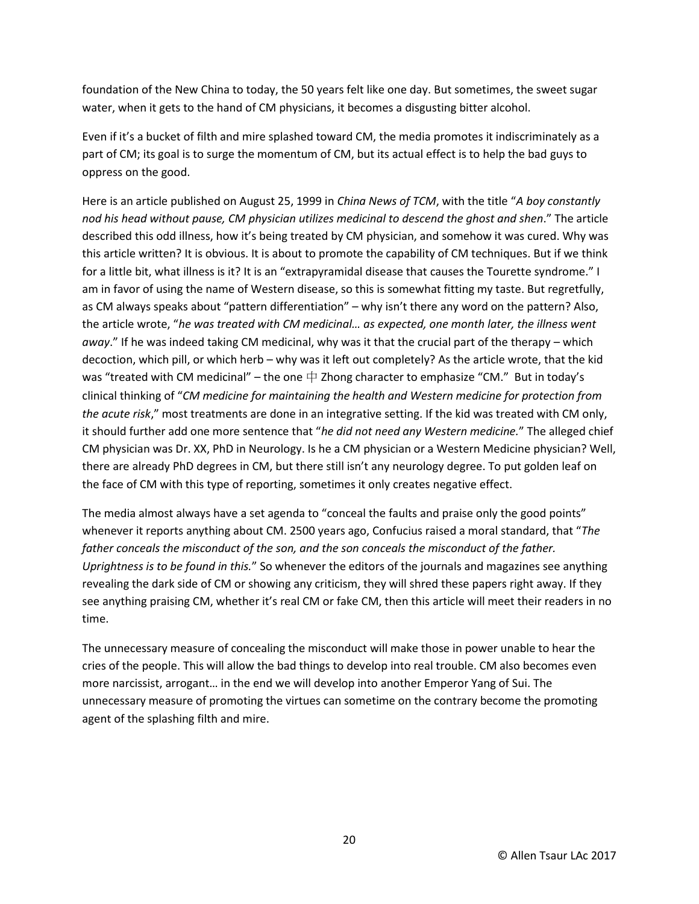foundation of the New China to today, the 50 years felt like one day. But sometimes, the sweet sugar water, when it gets to the hand of CM physicians, it becomes a disgusting bitter alcohol.

Even if it's a bucket of filth and mire splashed toward CM, the media promotes it indiscriminately as a part of CM; its goal is to surge the momentum of CM, but its actual effect is to help the bad guys to oppress on the good.

Here is an article published on August 25, 1999 in *China News of TCM*, with the title "*A boy constantly nod his head without pause, CM physician utilizes medicinal to descend the ghost and shen*." The article described this odd illness, how it's being treated by CM physician, and somehow it was cured. Why was this article written? It is obvious. It is about to promote the capability of CM techniques. But if we think for a little bit, what illness is it? It is an "extrapyramidal disease that causes the Tourette syndrome." I am in favor of using the name of Western disease, so this is somewhat fitting my taste. But regretfully, as CM always speaks about "pattern differentiation" – why isn't there any word on the pattern? Also, the article wrote, "*he was treated with CM medicinal… as expected, one month later, the illness went away*." If he was indeed taking CM medicinal, why was it that the crucial part of the therapy – which decoction, which pill, or which herb – why was it left out completely? As the article wrote, that the kid was "treated with CM medicinal" – the one  $\pm$  Zhong character to emphasize "CM." But in today's clinical thinking of "*CM medicine for maintaining the health and Western medicine for protection from the acute risk*," most treatments are done in an integrative setting. If the kid was treated with CM only, it should further add one more sentence that "*he did not need any Western medicine.*" The alleged chief CM physician was Dr. XX, PhD in Neurology. Is he a CM physician or a Western Medicine physician? Well, there are already PhD degrees in CM, but there still isn't any neurology degree. To put golden leaf on the face of CM with this type of reporting, sometimes it only creates negative effect.

The media almost always have a set agenda to "conceal the faults and praise only the good points" whenever it reports anything about CM. 2500 years ago, Confucius raised a moral standard, that "*The father conceals the misconduct of the son, and the son conceals the misconduct of the father. Uprightness is to be found in this.*" So whenever the editors of the journals and magazines see anything revealing the dark side of CM or showing any criticism, they will shred these papers right away. If they see anything praising CM, whether it's real CM or fake CM, then this article will meet their readers in no time.

The unnecessary measure of concealing the misconduct will make those in power unable to hear the cries of the people. This will allow the bad things to develop into real trouble. CM also becomes even more narcissist, arrogant… in the end we will develop into another Emperor Yang of Sui. The unnecessary measure of promoting the virtues can sometime on the contrary become the promoting agent of the splashing filth and mire.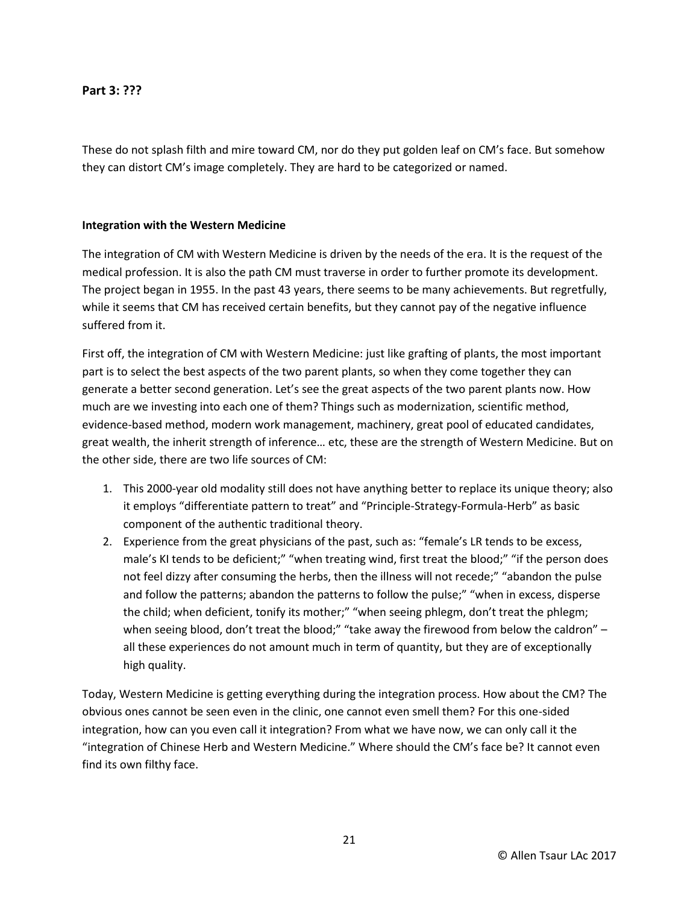**Part 3: ???**

These do not splash filth and mire toward CM, nor do they put golden leaf on CM's face. But somehow they can distort CM's image completely. They are hard to be categorized or named.

#### **Integration with the Western Medicine**

The integration of CM with Western Medicine is driven by the needs of the era. It is the request of the medical profession. It is also the path CM must traverse in order to further promote its development. The project began in 1955. In the past 43 years, there seems to be many achievements. But regretfully, while it seems that CM has received certain benefits, but they cannot pay of the negative influence suffered from it.

First off, the integration of CM with Western Medicine: just like grafting of plants, the most important part is to select the best aspects of the two parent plants, so when they come together they can generate a better second generation. Let's see the great aspects of the two parent plants now. How much are we investing into each one of them? Things such as modernization, scientific method, evidence-based method, modern work management, machinery, great pool of educated candidates, great wealth, the inherit strength of inference… etc, these are the strength of Western Medicine. But on the other side, there are two life sources of CM:

- 1. This 2000-year old modality still does not have anything better to replace its unique theory; also it employs "differentiate pattern to treat" and "Principle-Strategy-Formula-Herb" as basic component of the authentic traditional theory.
- 2. Experience from the great physicians of the past, such as: "female's LR tends to be excess, male's KI tends to be deficient;" "when treating wind, first treat the blood;" "if the person does not feel dizzy after consuming the herbs, then the illness will not recede;" "abandon the pulse and follow the patterns; abandon the patterns to follow the pulse;" "when in excess, disperse the child; when deficient, tonify its mother;" "when seeing phlegm, don't treat the phlegm; when seeing blood, don't treat the blood;" "take away the firewood from below the caldron" all these experiences do not amount much in term of quantity, but they are of exceptionally high quality.

Today, Western Medicine is getting everything during the integration process. How about the CM? The obvious ones cannot be seen even in the clinic, one cannot even smell them? For this one-sided integration, how can you even call it integration? From what we have now, we can only call it the "integration of Chinese Herb and Western Medicine." Where should the CM's face be? It cannot even find its own filthy face.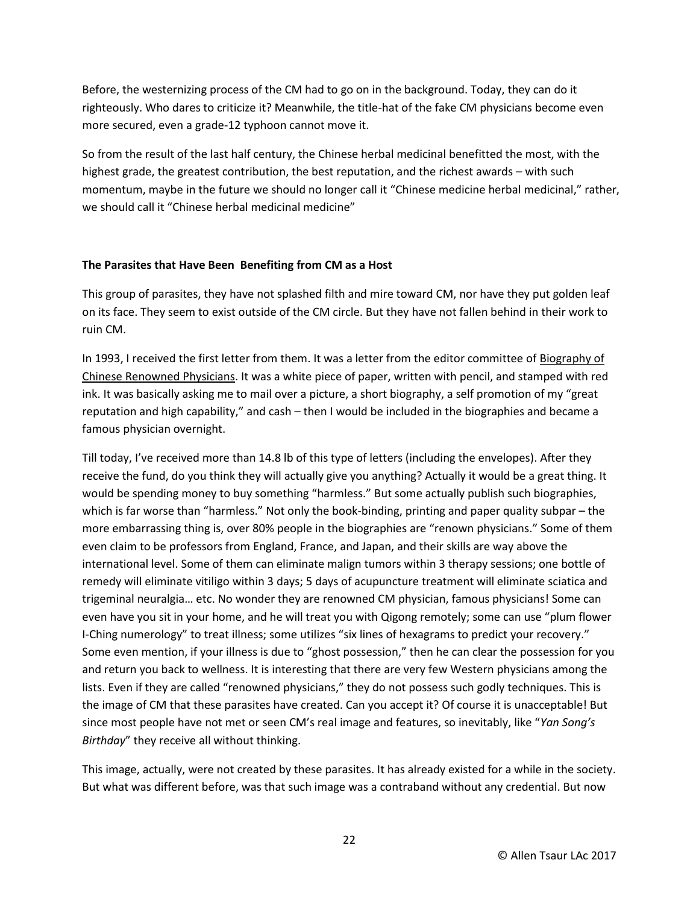Before, the westernizing process of the CM had to go on in the background. Today, they can do it righteously. Who dares to criticize it? Meanwhile, the title-hat of the fake CM physicians become even more secured, even a grade-12 typhoon cannot move it.

So from the result of the last half century, the Chinese herbal medicinal benefitted the most, with the highest grade, the greatest contribution, the best reputation, and the richest awards – with such momentum, maybe in the future we should no longer call it "Chinese medicine herbal medicinal," rather, we should call it "Chinese herbal medicinal medicine"

#### **The Parasites that Have Been Benefiting from CM as a Host**

This group of parasites, they have not splashed filth and mire toward CM, nor have they put golden leaf on its face. They seem to exist outside of the CM circle. But they have not fallen behind in their work to ruin CM.

In 1993, I received the first letter from them. It was a letter from the editor committee of Biography of Chinese Renowned Physicians. It was a white piece of paper, written with pencil, and stamped with red ink. It was basically asking me to mail over a picture, a short biography, a self promotion of my "great reputation and high capability," and cash – then I would be included in the biographies and became a famous physician overnight.

Till today, I've received more than 14.8 lb of this type of letters (including the envelopes). After they receive the fund, do you think they will actually give you anything? Actually it would be a great thing. It would be spending money to buy something "harmless." But some actually publish such biographies, which is far worse than "harmless." Not only the book-binding, printing and paper quality subpar – the more embarrassing thing is, over 80% people in the biographies are "renown physicians." Some of them even claim to be professors from England, France, and Japan, and their skills are way above the international level. Some of them can eliminate malign tumors within 3 therapy sessions; one bottle of remedy will eliminate vitiligo within 3 days; 5 days of acupuncture treatment will eliminate sciatica and trigeminal neuralgia… etc. No wonder they are renowned CM physician, famous physicians! Some can even have you sit in your home, and he will treat you with Qigong remotely; some can use "plum flower I-Ching numerology" to treat illness; some utilizes "six lines of hexagrams to predict your recovery." Some even mention, if your illness is due to "ghost possession," then he can clear the possession for you and return you back to wellness. It is interesting that there are very few Western physicians among the lists. Even if they are called "renowned physicians," they do not possess such godly techniques. This is the image of CM that these parasites have created. Can you accept it? Of course it is unacceptable! But since most people have not met or seen CM's real image and features, so inevitably, like "*Yan Song's Birthday*" they receive all without thinking.

This image, actually, were not created by these parasites. It has already existed for a while in the society. But what was different before, was that such image was a contraband without any credential. But now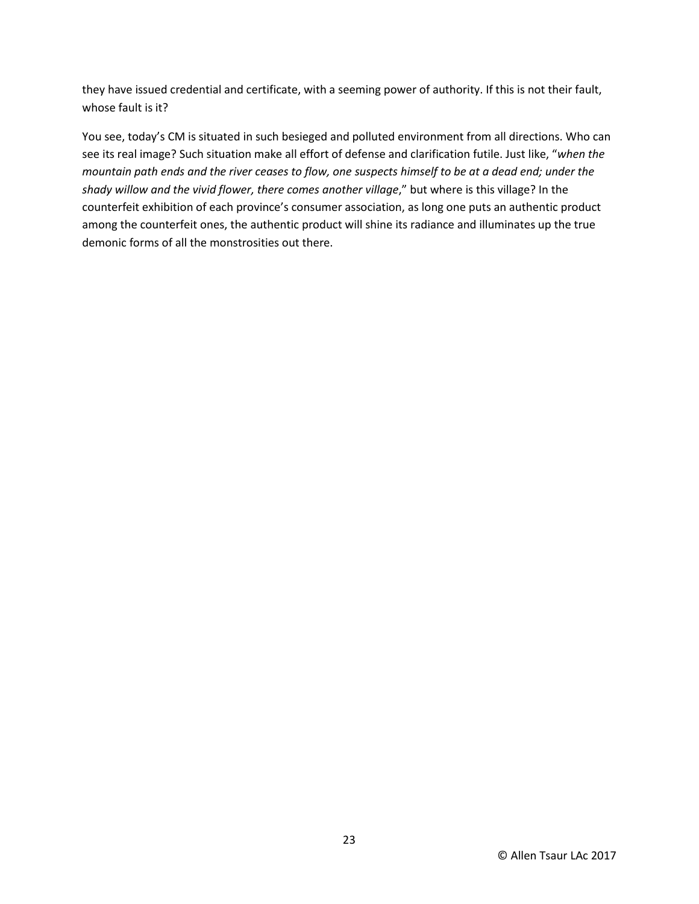they have issued credential and certificate, with a seeming power of authority. If this is not their fault, whose fault is it?

You see, today's CM is situated in such besieged and polluted environment from all directions. Who can see its real image? Such situation make all effort of defense and clarification futile. Just like, "*when the mountain path ends and the river ceases to flow, one suspects himself to be at a dead end; under the shady willow and the vivid flower, there comes another village*," but where is this village? In the counterfeit exhibition of each province's consumer association, as long one puts an authentic product among the counterfeit ones, the authentic product will shine its radiance and illuminates up the true demonic forms of all the monstrosities out there.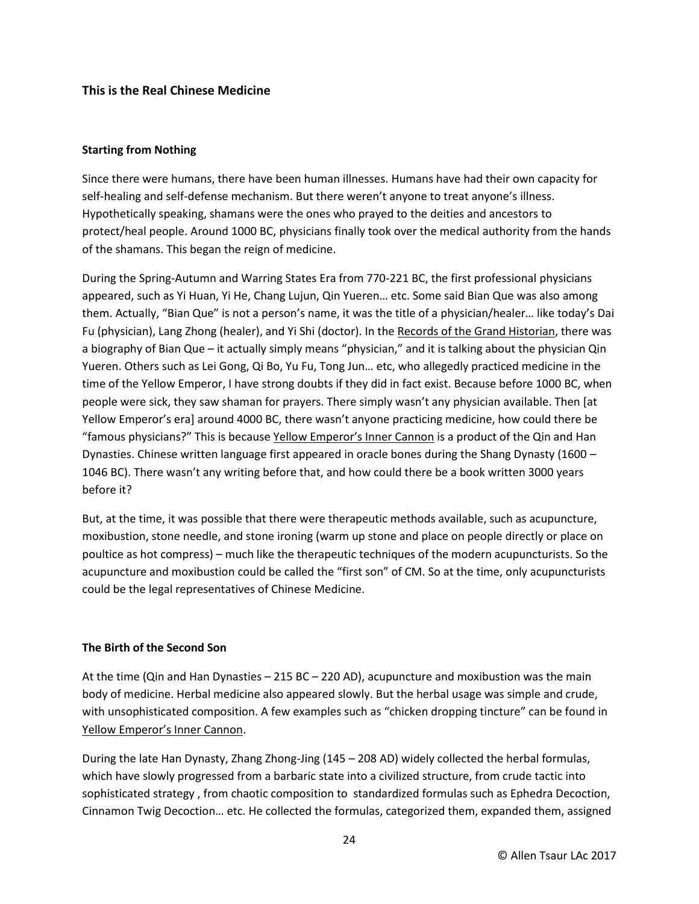## **This is the Real Chinese Medicine**

#### **Starting from Nothing**

Since there were humans, there have been human illnesses. Humans have had their own capacity for self-healing and self-defense mechanism. But there weren't anyone to treat anyone's illness. Hypothetically speaking, shamans were the ones who prayed to the deities and ancestors to protect/heal people. Around 1000 BC, physicians finally took over the medical authority from the hands of the shamans. This began the reign of medicine.

During the Spring-Autumn and Warring States Era from 770-221 BC, the first professional physicians appeared, such as Yi Huan, Yi He, Chang Lujun, Qin Yueren… etc. Some said Bian Que was also among them. Actually, "Bian Que" is not a person's name, it was the title of a physician/healer… like today's Dai Fu (physician), Lang Zhong (healer), and Yi Shi (doctor). In the Records of the Grand Historian, there was a biography of Bian Que – it actually simply means "physician," and it is talking about the physician Qin Yueren. Others such as Lei Gong, Qi Bo, Yu Fu, Tong Jun… etc, who allegedly practiced medicine in the time of the Yellow Emperor, I have strong doubts if they did in fact exist. Because before 1000 BC, when people were sick, they saw shaman for prayers. There simply wasn't any physician available. Then [at Yellow Emperor's era] around 4000 BC, there wasn't anyone practicing medicine, how could there be "famous physicians?" This is because Yellow Emperor's Inner Cannon is a product of the Qin and Han Dynasties. Chinese written language first appeared in oracle bones during the Shang Dynasty (1600 – 1046 BC). There wasn't any writing before that, and how could there be a book written 3000 years before it?

But, at the time, it was possible that there were therapeutic methods available, such as acupuncture, moxibustion, stone needle, and stone ironing (warm up stone and place on people directly or place on poultice as hot compress) – much like the therapeutic techniques of the modern acupuncturists. So the acupuncture and moxibustion could be called the "first son" of CM. So at the time, only acupuncturists could be the legal representatives of Chinese Medicine.

#### **The Birth of the Second Son**

At the time (Qin and Han Dynasties – 215 BC – 220 AD), acupuncture and moxibustion was the main body of medicine. Herbal medicine also appeared slowly. But the herbal usage was simple and crude, with unsophisticated composition. A few examples such as "chicken dropping tincture" can be found in Yellow Emperor's Inner Cannon.

During the late Han Dynasty, Zhang Zhong-Jing (145 – 208 AD) widely collected the herbal formulas, which have slowly progressed from a barbaric state into a civilized structure, from crude tactic into sophisticated strategy , from chaotic composition to standardized formulas such as Ephedra Decoction, Cinnamon Twig Decoction… etc. He collected the formulas, categorized them, expanded them, assigned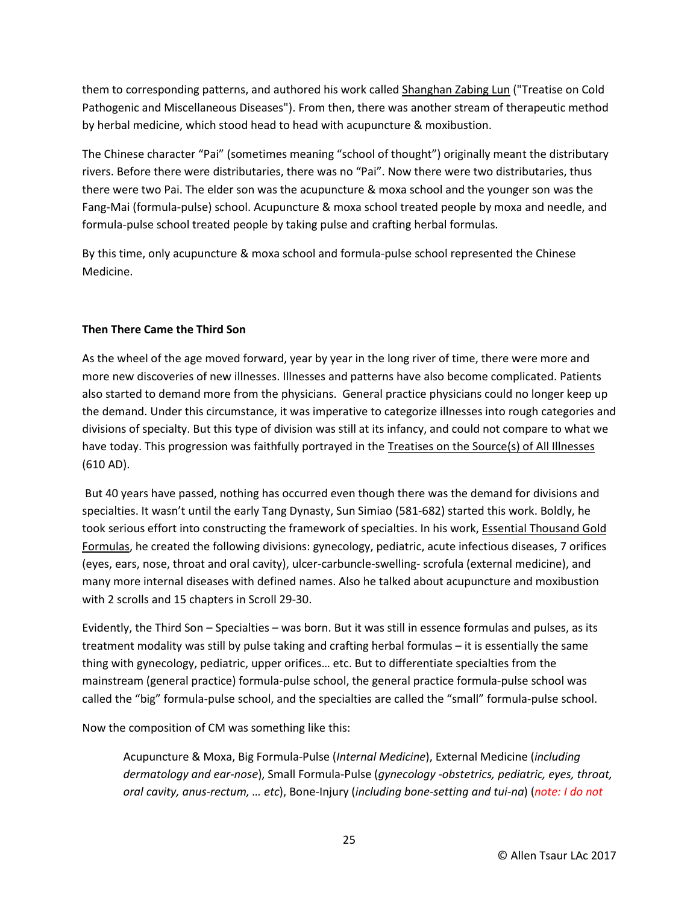them to corresponding patterns, and authored his work called Shanghan Zabing Lun ("Treatise on Cold Pathogenic and Miscellaneous Diseases"). From then, there was another stream of therapeutic method by herbal medicine, which stood head to head with acupuncture & moxibustion.

The Chinese character "Pai" (sometimes meaning "school of thought") originally meant the distributary rivers. Before there were distributaries, there was no "Pai". Now there were two distributaries, thus there were two Pai. The elder son was the acupuncture & moxa school and the younger son was the Fang-Mai (formula-pulse) school. Acupuncture & moxa school treated people by moxa and needle, and formula-pulse school treated people by taking pulse and crafting herbal formulas.

By this time, only acupuncture & moxa school and formula-pulse school represented the Chinese Medicine.

# **Then There Came the Third Son**

As the wheel of the age moved forward, year by year in the long river of time, there were more and more new discoveries of new illnesses. Illnesses and patterns have also become complicated. Patients also started to demand more from the physicians. General practice physicians could no longer keep up the demand. Under this circumstance, it was imperative to categorize illnesses into rough categories and divisions of specialty. But this type of division was still at its infancy, and could not compare to what we have today. This progression was faithfully portrayed in the Treatises on the Source(s) of All Illnesses (610 AD).

But 40 years have passed, nothing has occurred even though there was the demand for divisions and specialties. It wasn't until the early Tang Dynasty, Sun Simiao (581-682) started this work. Boldly, he took serious effort into constructing the framework of specialties. In his work, Essential Thousand Gold Formulas, he created the following divisions: gynecology, pediatric, acute infectious diseases, 7 orifices (eyes, ears, nose, throat and oral cavity), ulcer-carbuncle-swelling- scrofula (external medicine), and many more internal diseases with defined names. Also he talked about acupuncture and moxibustion with 2 scrolls and 15 chapters in Scroll 29-30.

Evidently, the Third Son – Specialties – was born. But it was still in essence formulas and pulses, as its treatment modality was still by pulse taking and crafting herbal formulas – it is essentially the same thing with gynecology, pediatric, upper orifices… etc. But to differentiate specialties from the mainstream (general practice) formula-pulse school, the general practice formula-pulse school was called the "big" formula-pulse school, and the specialties are called the "small" formula-pulse school.

Now the composition of CM was something like this:

Acupuncture & Moxa, Big Formula-Pulse (*Internal Medicine*), External Medicine (*including dermatology and ear-nose*), Small Formula-Pulse (*gynecology -obstetrics, pediatric, eyes, throat, oral cavity, anus-rectum, … etc*), Bone-Injury (*including bone-setting and tui-na*) (*note: I do not*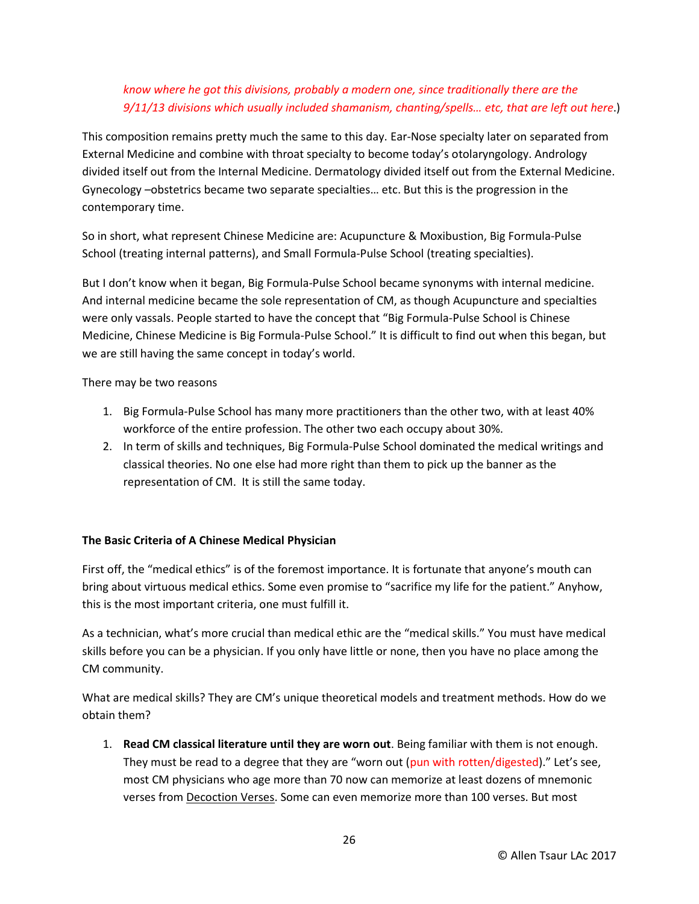# *know where he got this divisions, probably a modern one, since traditionally there are the 9/11/13 divisions which usually included shamanism, chanting/spells… etc, that are left out here*.)

This composition remains pretty much the same to this day. Ear-Nose specialty later on separated from External Medicine and combine with throat specialty to become today's otolaryngology. Andrology divided itself out from the Internal Medicine. Dermatology divided itself out from the External Medicine. Gynecology –obstetrics became two separate specialties… etc. But this is the progression in the contemporary time.

So in short, what represent Chinese Medicine are: Acupuncture & Moxibustion, Big Formula-Pulse School (treating internal patterns), and Small Formula-Pulse School (treating specialties).

But I don't know when it began, Big Formula-Pulse School became synonyms with internal medicine. And internal medicine became the sole representation of CM, as though Acupuncture and specialties were only vassals. People started to have the concept that "Big Formula-Pulse School is Chinese Medicine, Chinese Medicine is Big Formula-Pulse School." It is difficult to find out when this began, but we are still having the same concept in today's world.

There may be two reasons

- 1. Big Formula-Pulse School has many more practitioners than the other two, with at least 40% workforce of the entire profession. The other two each occupy about 30%.
- 2. In term of skills and techniques, Big Formula-Pulse School dominated the medical writings and classical theories. No one else had more right than them to pick up the banner as the representation of CM. It is still the same today.

# **The Basic Criteria of A Chinese Medical Physician**

First off, the "medical ethics" is of the foremost importance. It is fortunate that anyone's mouth can bring about virtuous medical ethics. Some even promise to "sacrifice my life for the patient." Anyhow, this is the most important criteria, one must fulfill it.

As a technician, what's more crucial than medical ethic are the "medical skills." You must have medical skills before you can be a physician. If you only have little or none, then you have no place among the CM community.

What are medical skills? They are CM's unique theoretical models and treatment methods. How do we obtain them?

1. **Read CM classical literature until they are worn out**. Being familiar with them is not enough. They must be read to a degree that they are "worn out (pun with rotten/digested)." Let's see, most CM physicians who age more than 70 now can memorize at least dozens of mnemonic verses from Decoction Verses. Some can even memorize more than 100 verses. But most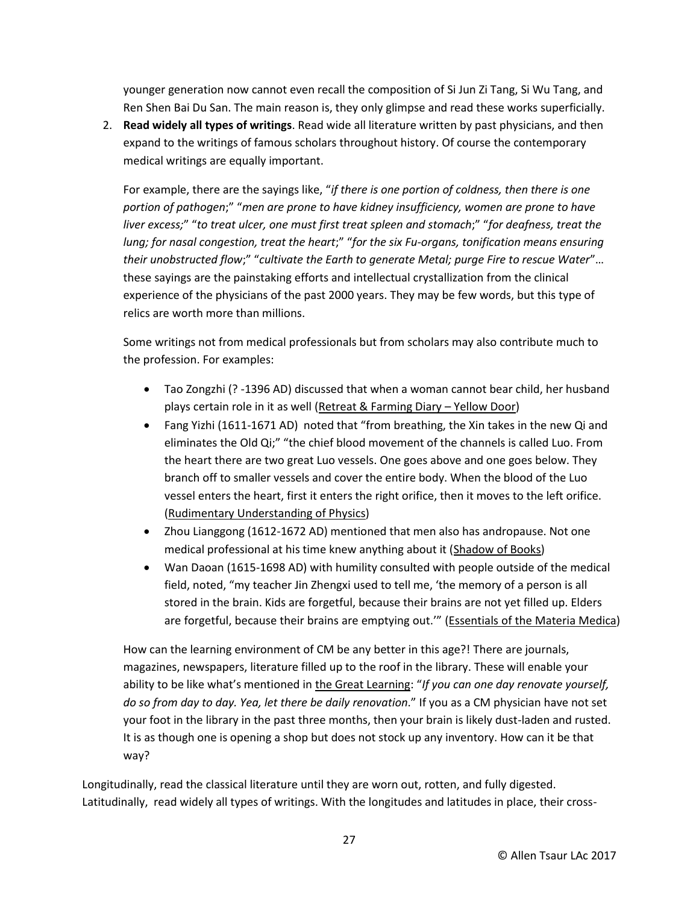younger generation now cannot even recall the composition of Si Jun Zi Tang, Si Wu Tang, and Ren Shen Bai Du San. The main reason is, they only glimpse and read these works superficially.

2. **Read widely all types of writings**. Read wide all literature written by past physicians, and then expand to the writings of famous scholars throughout history. Of course the contemporary medical writings are equally important.

For example, there are the sayings like, "*if there is one portion of coldness, then there is one portion of pathogen*;" "*men are prone to have kidney insufficiency, women are prone to have liver excess;*" "*to treat ulcer, one must first treat spleen and stomach*;" "*for deafness, treat the lung; for nasal congestion, treat the heart*;" "*for the six Fu-organs, tonification means ensuring their unobstructed flow*;" "*cultivate the Earth to generate Metal; purge Fire to rescue Water*"… these sayings are the painstaking efforts and intellectual crystallization from the clinical experience of the physicians of the past 2000 years. They may be few words, but this type of relics are worth more than millions.

Some writings not from medical professionals but from scholars may also contribute much to the profession. For examples:

- Tao Zongzhi (? -1396 AD) discussed that when a woman cannot bear child, her husband plays certain role in it as well (Retreat & Farming Diary – Yellow Door)
- Fang Yizhi (1611-1671 AD) noted that "from breathing, the Xin takes in the new Qi and eliminates the Old Qi;" "the chief blood movement of the channels is called Luo. From the heart there are two great Luo vessels. One goes above and one goes below. They branch off to smaller vessels and cover the entire body. When the blood of the Luo vessel enters the heart, first it enters the right orifice, then it moves to the left orifice. (Rudimentary Understanding of Physics)
- Zhou Lianggong (1612-1672 AD) mentioned that men also has andropause. Not one medical professional at his time knew anything about it (Shadow of Books)
- Wan Daoan (1615-1698 AD) with humility consulted with people outside of the medical field, noted, "my teacher Jin Zhengxi used to tell me, 'the memory of a person is all stored in the brain. Kids are forgetful, because their brains are not yet filled up. Elders are forgetful, because their brains are emptying out.'" (Essentials of the Materia Medica)

How can the learning environment of CM be any better in this age?! There are journals, magazines, newspapers, literature filled up to the roof in the library. These will enable your ability to be like what's mentioned in the Great Learning: "*If you can one day renovate yourself, do so from day to day. Yea, let there be daily renovation*." If you as a CM physician have not set your foot in the library in the past three months, then your brain is likely dust-laden and rusted. It is as though one is opening a shop but does not stock up any inventory. How can it be that way?

Longitudinally, read the classical literature until they are worn out, rotten, and fully digested. Latitudinally, read widely all types of writings. With the longitudes and latitudes in place, their cross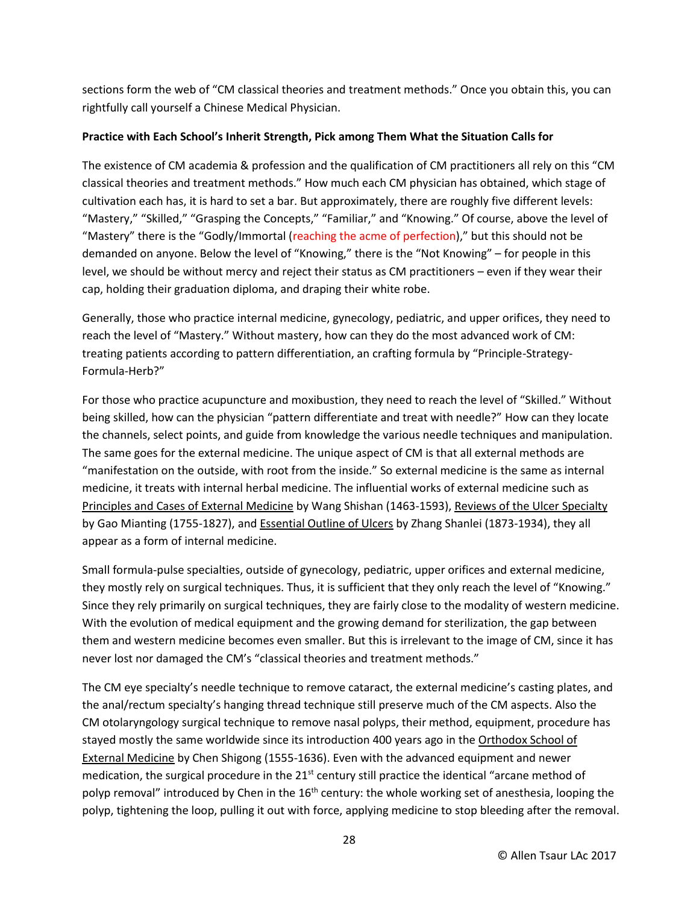sections form the web of "CM classical theories and treatment methods." Once you obtain this, you can rightfully call yourself a Chinese Medical Physician.

### **Practice with Each School's Inherit Strength, Pick among Them What the Situation Calls for**

The existence of CM academia & profession and the qualification of CM practitioners all rely on this "CM classical theories and treatment methods." How much each CM physician has obtained, which stage of cultivation each has, it is hard to set a bar. But approximately, there are roughly five different levels: "Mastery," "Skilled," "Grasping the Concepts," "Familiar," and "Knowing." Of course, above the level of "Mastery" there is the "Godly/Immortal (reaching the acme of perfection)," but this should not be demanded on anyone. Below the level of "Knowing," there is the "Not Knowing" – for people in this level, we should be without mercy and reject their status as CM practitioners – even if they wear their cap, holding their graduation diploma, and draping their white robe.

Generally, those who practice internal medicine, gynecology, pediatric, and upper orifices, they need to reach the level of "Mastery." Without mastery, how can they do the most advanced work of CM: treating patients according to pattern differentiation, an crafting formula by "Principle-Strategy-Formula-Herb?"

For those who practice acupuncture and moxibustion, they need to reach the level of "Skilled." Without being skilled, how can the physician "pattern differentiate and treat with needle?" How can they locate the channels, select points, and guide from knowledge the various needle techniques and manipulation. The same goes for the external medicine. The unique aspect of CM is that all external methods are "manifestation on the outside, with root from the inside." So external medicine is the same as internal medicine, it treats with internal herbal medicine. The influential works of external medicine such as Principles and Cases of External Medicine by Wang Shishan (1463-1593), Reviews of the Ulcer Specialty by Gao Mianting (1755-1827), and **Essential Outline of Ulcers** by Zhang Shanlei (1873-1934), they all appear as a form of internal medicine.

Small formula-pulse specialties, outside of gynecology, pediatric, upper orifices and external medicine, they mostly rely on surgical techniques. Thus, it is sufficient that they only reach the level of "Knowing." Since they rely primarily on surgical techniques, they are fairly close to the modality of western medicine. With the evolution of medical equipment and the growing demand for sterilization, the gap between them and western medicine becomes even smaller. But this is irrelevant to the image of CM, since it has never lost nor damaged the CM's "classical theories and treatment methods."

The CM eye specialty's needle technique to remove cataract, the external medicine's casting plates, and the anal/rectum specialty's hanging thread technique still preserve much of the CM aspects. Also the CM otolaryngology surgical technique to remove nasal polyps, their method, equipment, procedure has stayed mostly the same worldwide since its introduction 400 years ago in the Orthodox School of External Medicine by Chen Shigong (1555-1636). Even with the advanced equipment and newer medication, the surgical procedure in the  $21<sup>st</sup>$  century still practice the identical "arcane method of polyp removal" introduced by Chen in the 16<sup>th</sup> century: the whole working set of anesthesia, looping the polyp, tightening the loop, pulling it out with force, applying medicine to stop bleeding after the removal.